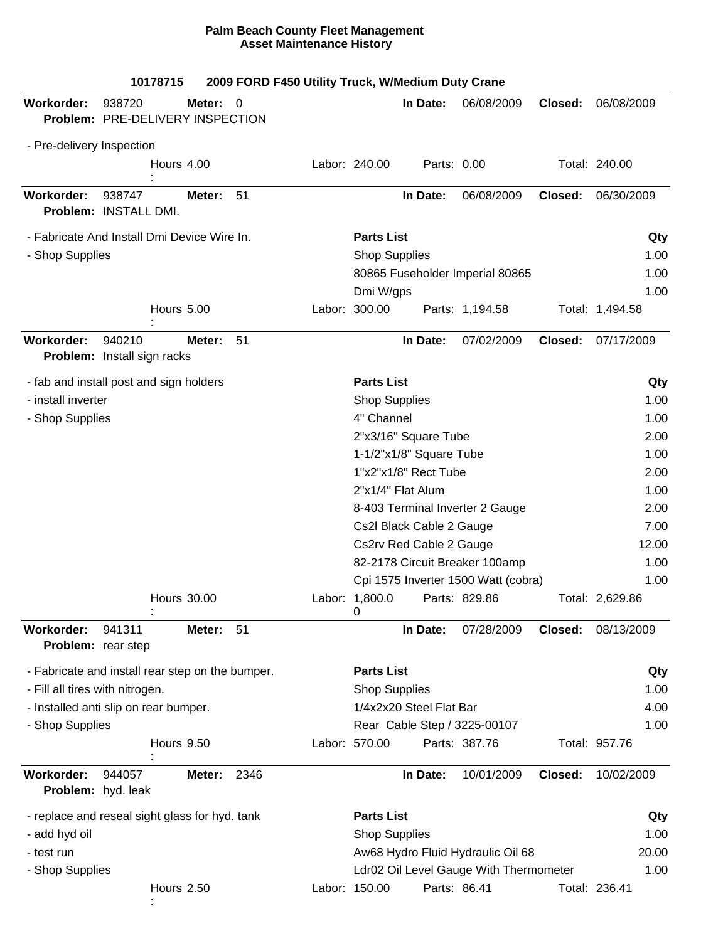|                                                  | 10178715                                   |                    |                | 2009 FORD F450 Utility Truck, W/Medium Duty Crane |                                                                       |                          |                                        |         |                 |
|--------------------------------------------------|--------------------------------------------|--------------------|----------------|---------------------------------------------------|-----------------------------------------------------------------------|--------------------------|----------------------------------------|---------|-----------------|
| Workorder:                                       | 938720<br>Problem: PRE-DELIVERY INSPECTION | Meter:             | $\overline{0}$ |                                                   |                                                                       | In Date:                 | 06/08/2009                             | Closed: | 06/08/2009      |
| - Pre-delivery Inspection                        |                                            |                    |                |                                                   |                                                                       |                          |                                        |         |                 |
|                                                  |                                            | Hours 4.00         |                |                                                   | Labor: 240.00                                                         | Parts: 0.00              |                                        |         | Total: 240.00   |
| Workorder:                                       | 938747<br>Problem: INSTALL DMI.            | Meter:             | 51             |                                                   |                                                                       | In Date:                 | 06/08/2009                             | Closed: | 06/30/2009      |
| - Fabricate And Install Dmi Device Wire In.      |                                            |                    |                |                                                   | <b>Parts List</b>                                                     |                          |                                        |         | Qty             |
| - Shop Supplies                                  |                                            |                    |                |                                                   | <b>Shop Supplies</b>                                                  | 1.00                     |                                        |         |                 |
|                                                  |                                            |                    |                |                                                   |                                                                       |                          | 80865 Fuseholder Imperial 80865        |         | 1.00            |
|                                                  |                                            |                    |                |                                                   | Dmi W/gps                                                             |                          |                                        |         | 1.00            |
|                                                  |                                            | <b>Hours 5.00</b>  |                |                                                   | Labor: 300.00                                                         |                          | Parts: 1,194.58                        |         | Total: 1,494.58 |
| Workorder:                                       | 940210<br>Problem: Install sign racks      | Meter:             | 51             |                                                   |                                                                       | In Date:                 | 07/02/2009                             | Closed: | 07/17/2009      |
| - fab and install post and sign holders          |                                            |                    |                |                                                   | <b>Parts List</b>                                                     |                          |                                        |         | Qty             |
| - install inverter                               |                                            |                    |                |                                                   | <b>Shop Supplies</b>                                                  |                          |                                        |         | 1.00            |
| - Shop Supplies                                  |                                            |                    |                |                                                   | 4" Channel                                                            |                          |                                        |         | 1.00            |
|                                                  |                                            |                    |                |                                                   |                                                                       | 2"x3/16" Square Tube     |                                        |         | 2.00            |
|                                                  |                                            |                    |                |                                                   |                                                                       | 1-1/2"x1/8" Square Tube  |                                        |         | 1.00            |
|                                                  |                                            |                    |                |                                                   |                                                                       | 1"x2"x1/8" Rect Tube     |                                        |         | 2.00            |
|                                                  |                                            |                    |                |                                                   |                                                                       | 2"x1/4" Flat Alum        |                                        |         | 1.00            |
|                                                  |                                            |                    |                |                                                   |                                                                       |                          | 8-403 Terminal Inverter 2 Gauge        |         | 2.00            |
|                                                  |                                            |                    |                |                                                   |                                                                       | Cs2l Black Cable 2 Gauge |                                        |         | 7.00            |
|                                                  |                                            |                    |                |                                                   |                                                                       | Cs2rv Red Cable 2 Gauge  |                                        |         | 12.00           |
|                                                  |                                            |                    |                |                                                   | 82-2178 Circuit Breaker 100amp<br>Cpi 1575 Inverter 1500 Watt (cobra) |                          |                                        |         | 1.00            |
|                                                  |                                            |                    |                |                                                   |                                                                       |                          |                                        |         | 1.00            |
|                                                  |                                            | <b>Hours 30.00</b> |                |                                                   | Labor: 1,800.0<br>0                                                   |                          | Parts: 829.86                          |         | Total: 2,629.86 |
| Workorder:<br>Problem: rear step                 | 941311                                     | Meter:             | 51             |                                                   |                                                                       | In Date:                 | 07/28/2009                             | Closed: | 08/13/2009      |
| - Fabricate and install rear step on the bumper. |                                            |                    |                |                                                   | <b>Parts List</b>                                                     |                          |                                        |         | Qty             |
| - Fill all tires with nitrogen.                  |                                            |                    |                |                                                   | <b>Shop Supplies</b>                                                  |                          |                                        |         | 1.00            |
| - Installed anti slip on rear bumper.            |                                            |                    |                |                                                   |                                                                       | 1/4x2x20 Steel Flat Bar  |                                        |         | 4.00            |
| - Shop Supplies                                  |                                            |                    |                |                                                   |                                                                       |                          | Rear Cable Step / 3225-00107           |         | 1.00            |
|                                                  |                                            | Hours 9.50         |                |                                                   | Labor: 570.00                                                         |                          | Parts: 387.76                          |         | Total: 957.76   |
| Workorder:                                       | 944057<br>Problem: hyd. leak               | Meter:             | 2346           |                                                   |                                                                       | In Date:                 | 10/01/2009                             | Closed: | 10/02/2009      |
| - replace and reseal sight glass for hyd. tank   |                                            |                    |                |                                                   | <b>Parts List</b>                                                     |                          |                                        |         | Qty             |
| - add hyd oil                                    |                                            |                    |                |                                                   | <b>Shop Supplies</b>                                                  |                          |                                        |         | 1.00            |
| - test run                                       |                                            |                    |                |                                                   |                                                                       |                          | Aw68 Hydro Fluid Hydraulic Oil 68      |         | 20.00           |
| - Shop Supplies                                  |                                            |                    |                |                                                   |                                                                       |                          | Ldr02 Oil Level Gauge With Thermometer |         | 1.00            |
|                                                  |                                            | <b>Hours 2.50</b>  |                |                                                   | Labor: 150.00                                                         |                          | Parts: 86.41                           |         | Total: 236.41   |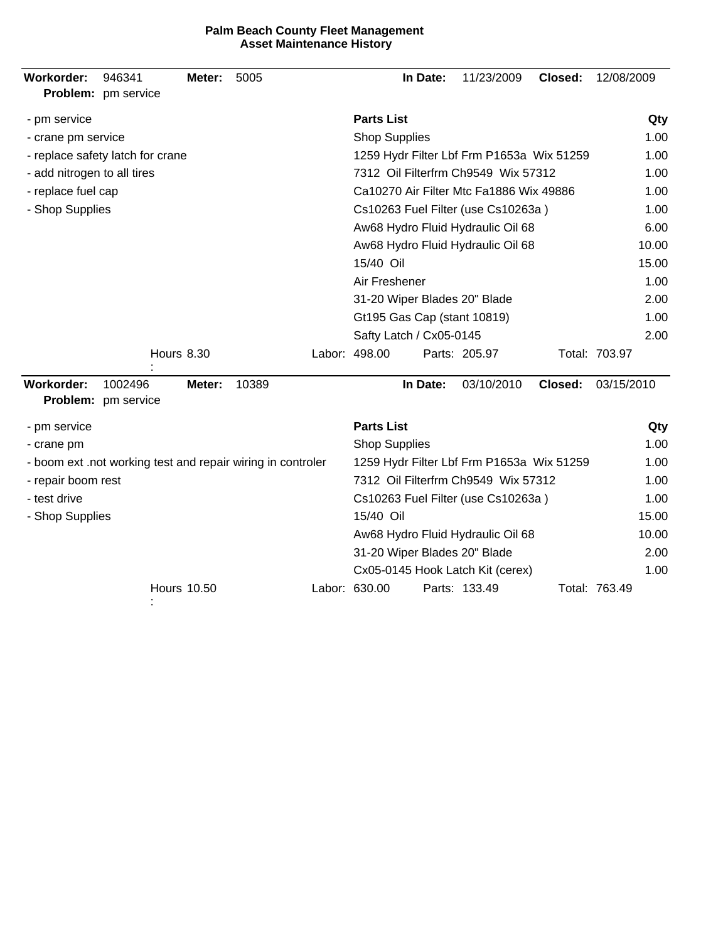| Workorder:                  | 946341<br>Problem: pm service    | Meter:             | 5005                                                        |  |                                     | In Date:                                  | 11/23/2009                                | Closed: | 12/08/2009    |
|-----------------------------|----------------------------------|--------------------|-------------------------------------------------------------|--|-------------------------------------|-------------------------------------------|-------------------------------------------|---------|---------------|
| - pm service                |                                  |                    |                                                             |  | <b>Parts List</b>                   |                                           |                                           |         | Qty           |
| - crane pm service          |                                  |                    |                                                             |  | <b>Shop Supplies</b>                |                                           |                                           |         | 1.00          |
|                             | - replace safety latch for crane |                    |                                                             |  |                                     | 1259 Hydr Filter Lbf Frm P1653a Wix 51259 | 1.00                                      |         |               |
| - add nitrogen to all tires |                                  |                    |                                                             |  | 7312 Oil Filterfrm Ch9549 Wix 57312 | 1.00                                      |                                           |         |               |
| - replace fuel cap          |                                  |                    |                                                             |  |                                     |                                           | Ca10270 Air Filter Mtc Fa1886 Wix 49886   |         | 1.00          |
| - Shop Supplies             |                                  |                    |                                                             |  |                                     |                                           | Cs10263 Fuel Filter (use Cs10263a)        |         | 1.00          |
|                             |                                  |                    |                                                             |  |                                     |                                           | Aw68 Hydro Fluid Hydraulic Oil 68         |         | 6.00          |
|                             |                                  |                    |                                                             |  |                                     |                                           | Aw68 Hydro Fluid Hydraulic Oil 68         |         | 10.00         |
|                             |                                  |                    |                                                             |  | 15/40 Oil                           |                                           |                                           |         | 15.00         |
|                             |                                  |                    |                                                             |  | Air Freshener                       |                                           |                                           |         | 1.00          |
|                             |                                  |                    |                                                             |  |                                     |                                           | 31-20 Wiper Blades 20" Blade              |         | 2.00          |
|                             |                                  |                    |                                                             |  |                                     |                                           | Gt195 Gas Cap (stant 10819)               |         | 1.00          |
|                             |                                  |                    |                                                             |  | Safty Latch / Cx05-0145             | 2.00                                      |                                           |         |               |
| <b>Hours 8.30</b>           |                                  |                    |                                                             |  | Labor: 498.00                       |                                           | Parts: 205.97                             |         | Total: 703.97 |
| Workorder:                  | 1002496<br>Problem: pm service   | Meter:             | 10389                                                       |  |                                     | In Date:                                  | 03/10/2010                                | Closed: | 03/15/2010    |
| - pm service                |                                  |                    |                                                             |  | <b>Parts List</b>                   |                                           |                                           |         | Qty           |
| - crane pm                  |                                  |                    |                                                             |  | <b>Shop Supplies</b>                |                                           |                                           |         | 1.00          |
|                             |                                  |                    | - boom ext .not working test and repair wiring in controler |  |                                     |                                           | 1259 Hydr Filter Lbf Frm P1653a Wix 51259 |         | 1.00          |
| - repair boom rest          |                                  |                    |                                                             |  |                                     |                                           | 7312 Oil Filterfrm Ch9549 Wix 57312       |         | 1.00          |
| - test drive                |                                  |                    |                                                             |  |                                     |                                           | Cs10263 Fuel Filter (use Cs10263a)        |         | 1.00          |
| - Shop Supplies             |                                  |                    |                                                             |  | 15/40 Oil                           |                                           |                                           |         | 15.00         |
|                             |                                  |                    |                                                             |  |                                     |                                           | Aw68 Hydro Fluid Hydraulic Oil 68         |         | 10.00         |
|                             |                                  |                    |                                                             |  |                                     |                                           | 31-20 Wiper Blades 20" Blade              |         | 2.00          |
|                             |                                  |                    |                                                             |  |                                     |                                           | Cx05-0145 Hook Latch Kit (cerex)          |         | 1.00          |
|                             |                                  | <b>Hours 10.50</b> |                                                             |  | Labor: 630.00                       |                                           | Parts: 133.49                             |         | Total: 763.49 |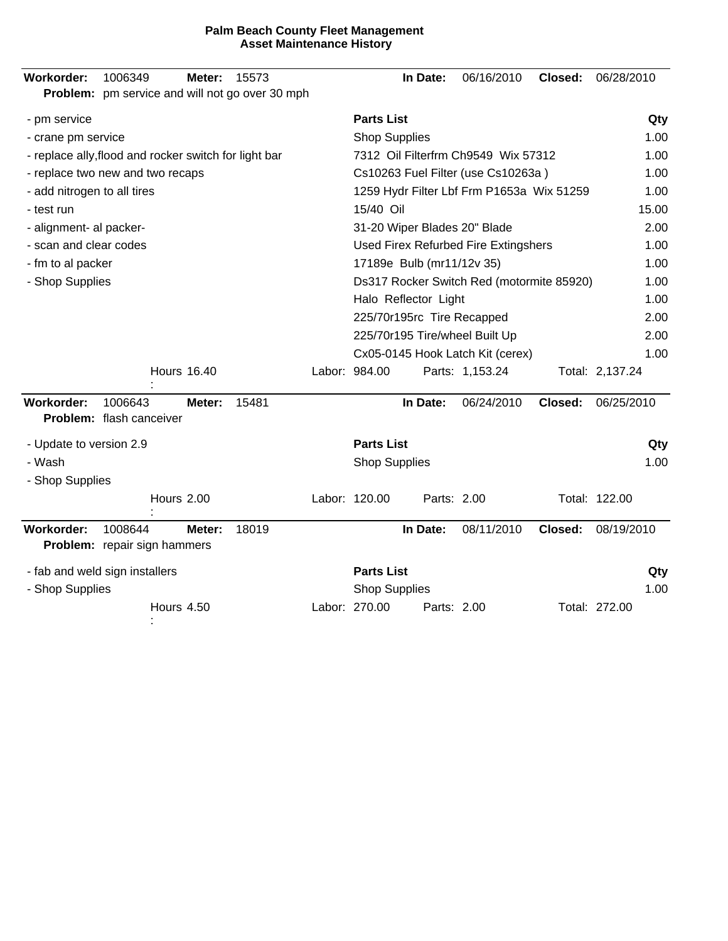| 1006349<br>Workorder:<br>15573<br>Meter:<br>Problem: pm service and will not go over 30 mph | 06/16/2010<br>In Date:<br>Closed:<br>06/28/2010     |
|---------------------------------------------------------------------------------------------|-----------------------------------------------------|
| - pm service                                                                                | <b>Parts List</b><br>Qty                            |
| - crane pm service                                                                          | <b>Shop Supplies</b><br>1.00                        |
| - replace ally, flood and rocker switch for light bar                                       | 7312 Oil Filterfrm Ch9549 Wix 57312<br>1.00         |
| - replace two new and two recaps                                                            | Cs10263 Fuel Filter (use Cs10263a)<br>1.00          |
| - add nitrogen to all tires                                                                 | 1259 Hydr Filter Lbf Frm P1653a Wix 51259<br>1.00   |
| - test run                                                                                  | 15/40 Oil<br>15.00                                  |
| - alignment- al packer-                                                                     | 31-20 Wiper Blades 20" Blade<br>2.00                |
| - scan and clear codes                                                                      | Used Firex Refurbed Fire Extingshers<br>1.00        |
| - fm to al packer                                                                           | 17189e Bulb (mr11/12v 35)<br>1.00                   |
| - Shop Supplies                                                                             | Ds317 Rocker Switch Red (motormite 85920)<br>1.00   |
|                                                                                             | Halo Reflector Light<br>1.00                        |
|                                                                                             | 225/70r195rc Tire Recapped<br>2.00                  |
|                                                                                             | 225/70r195 Tire/wheel Built Up<br>2.00              |
|                                                                                             | 1.00<br>Cx05-0145 Hook Latch Kit (cerex)            |
| <b>Hours 16.40</b>                                                                          | Labor: 984.00<br>Parts: 1,153.24<br>Total: 2,137.24 |
| Workorder:<br>1006643<br>15481<br>Meter:<br>Problem: flash canceiver                        | In Date:<br>06/24/2010<br>Closed:<br>06/25/2010     |
| - Update to version 2.9                                                                     | <b>Parts List</b><br>Qty                            |
| - Wash                                                                                      | <b>Shop Supplies</b><br>1.00                        |
| - Shop Supplies                                                                             |                                                     |
| Hours 2.00                                                                                  | Labor: 120.00<br>Total: 122.00<br>Parts: 2.00       |
| Workorder:<br>18019<br>1008644<br>Meter:<br><b>Problem:</b> repair sign hammers             | In Date:<br>08/11/2010<br>Closed:<br>08/19/2010     |
| - fab and weld sign installers                                                              | <b>Parts List</b><br>Qty                            |
| - Shop Supplies                                                                             | <b>Shop Supplies</b><br>1.00                        |
| Hours 4.50                                                                                  | Labor: 270.00<br>Total: 272.00<br>Parts: 2.00       |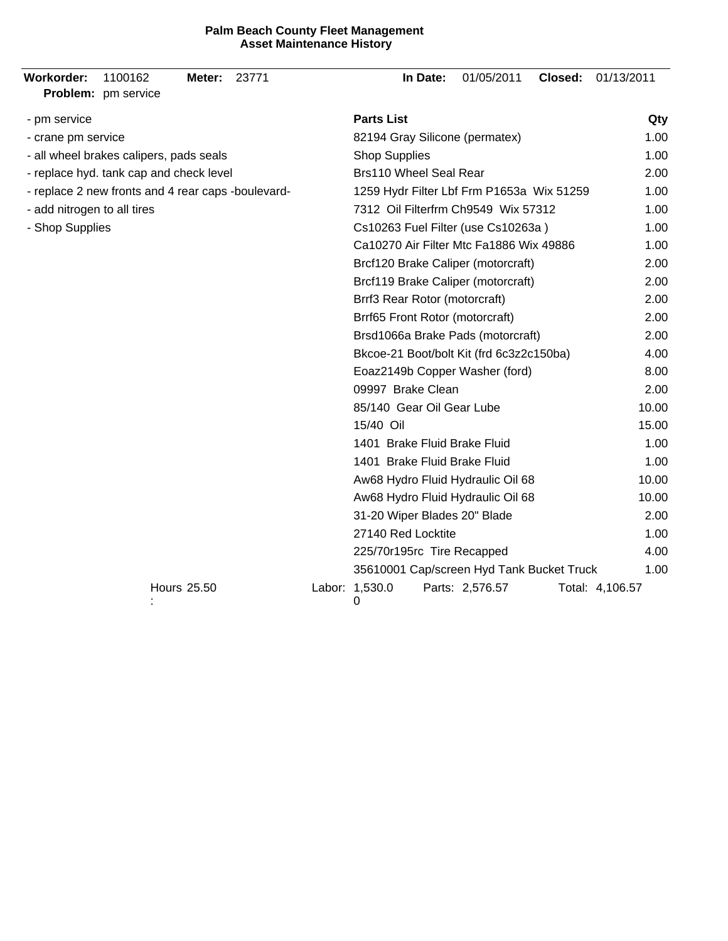| <b>Workorder:</b>           | 1100162<br>Problem: pm service                     | Meter:             | 23771                             |                                           | In Date: | 01/05/2011                                | Closed: | 01/13/2011      |
|-----------------------------|----------------------------------------------------|--------------------|-----------------------------------|-------------------------------------------|----------|-------------------------------------------|---------|-----------------|
| - pm service                |                                                    |                    |                                   | <b>Parts List</b>                         |          |                                           |         | Qty             |
| - crane pm service          |                                                    |                    |                                   |                                           |          | 82194 Gray Silicone (permatex)            |         | 1.00            |
|                             | - all wheel brakes calipers, pads seals            |                    |                                   | <b>Shop Supplies</b>                      |          |                                           |         | 1.00            |
|                             | - replace hyd. tank cap and check level            |                    |                                   | <b>Brs110 Wheel Seal Rear</b>             | 2.00     |                                           |         |                 |
|                             | - replace 2 new fronts and 4 rear caps -boulevard- |                    |                                   |                                           |          | 1259 Hydr Filter Lbf Frm P1653a Wix 51259 |         | 1.00            |
| - add nitrogen to all tires |                                                    |                    |                                   |                                           |          | 7312 Oil Filterfrm Ch9549 Wix 57312       |         | 1.00            |
| - Shop Supplies             |                                                    |                    |                                   |                                           |          | Cs10263 Fuel Filter (use Cs10263a)        |         | 1.00            |
|                             |                                                    |                    |                                   |                                           |          | Ca10270 Air Filter Mtc Fa1886 Wix 49886   |         | 1.00            |
|                             |                                                    |                    |                                   |                                           |          | Brcf120 Brake Caliper (motorcraft)        |         | 2.00            |
|                             |                                                    |                    |                                   |                                           |          | Brcf119 Brake Caliper (motorcraft)        |         | 2.00            |
|                             |                                                    |                    |                                   | Brrf3 Rear Rotor (motorcraft)             |          |                                           |         | 2.00            |
|                             |                                                    |                    |                                   | Brrf65 Front Rotor (motorcraft)           |          |                                           |         | 2.00            |
|                             |                                                    |                    | Brsd1066a Brake Pads (motorcraft) |                                           | 2.00     |                                           |         |                 |
|                             |                                                    |                    |                                   | Bkcoe-21 Boot/bolt Kit (frd 6c3z2c150ba)  | 4.00     |                                           |         |                 |
|                             |                                                    |                    |                                   | Eoaz2149b Copper Washer (ford)            | 8.00     |                                           |         |                 |
|                             |                                                    |                    |                                   | 09997 Brake Clean                         |          |                                           |         | 2.00            |
|                             |                                                    |                    |                                   | 85/140 Gear Oil Gear Lube                 |          |                                           |         | 10.00           |
|                             |                                                    |                    |                                   | 15/40 Oil                                 |          |                                           |         | 15.00           |
|                             |                                                    |                    |                                   | 1401 Brake Fluid Brake Fluid              |          |                                           |         | 1.00            |
|                             |                                                    |                    |                                   | 1401 Brake Fluid Brake Fluid              |          |                                           |         | 1.00            |
|                             |                                                    |                    |                                   |                                           |          | Aw68 Hydro Fluid Hydraulic Oil 68         |         | 10.00           |
|                             |                                                    |                    |                                   |                                           |          | Aw68 Hydro Fluid Hydraulic Oil 68         |         | 10.00           |
|                             |                                                    |                    |                                   | 31-20 Wiper Blades 20" Blade              |          |                                           |         | 2.00            |
|                             |                                                    |                    |                                   | 27140 Red Locktite                        |          |                                           |         | 1.00            |
|                             |                                                    |                    |                                   | 225/70r195rc Tire Recapped                |          |                                           |         | 4.00            |
|                             |                                                    |                    |                                   | 35610001 Cap/screen Hyd Tank Bucket Truck | 1.00     |                                           |         |                 |
|                             |                                                    | <b>Hours 25.50</b> |                                   | Labor: 1,530.0<br>0                       |          | Parts: 2,576.57                           |         | Total: 4,106.57 |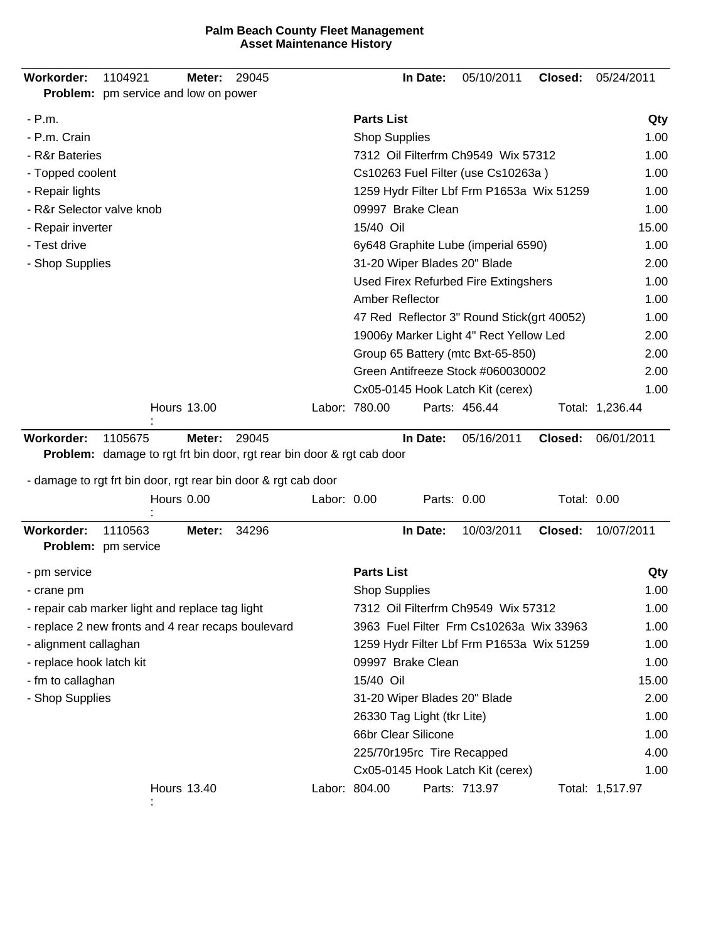| Workorder:                | 1104921<br><b>Problem:</b> pm service and low on power         | Meter:             | 29045 |             |                                           | In Date:                   | 05/10/2011                                 | Closed:     | 05/24/2011      |
|---------------------------|----------------------------------------------------------------|--------------------|-------|-------------|-------------------------------------------|----------------------------|--------------------------------------------|-------------|-----------------|
| $- P.m.$                  |                                                                |                    |       |             | <b>Parts List</b>                         |                            |                                            |             | Qty             |
| - P.m. Crain              |                                                                |                    |       |             | <b>Shop Supplies</b>                      |                            |                                            |             | 1.00            |
| - R&r Bateries            |                                                                |                    |       |             | 7312 Oil Filterfrm Ch9549 Wix 57312       | 1.00                       |                                            |             |                 |
| - Topped coolent          |                                                                |                    |       |             | Cs10263 Fuel Filter (use Cs10263a)        | 1.00                       |                                            |             |                 |
| - Repair lights           |                                                                |                    |       |             | 1259 Hydr Filter Lbf Frm P1653a Wix 51259 | 1.00                       |                                            |             |                 |
| - R&r Selector valve knob |                                                                |                    |       |             |                                           | 09997 Brake Clean          |                                            |             | 1.00            |
| - Repair inverter         |                                                                |                    |       |             | 15/40 Oil                                 |                            |                                            |             | 15.00           |
| - Test drive              |                                                                |                    |       |             |                                           |                            | 6y648 Graphite Lube (imperial 6590)        |             | 1.00            |
| - Shop Supplies           |                                                                |                    |       |             |                                           |                            | 31-20 Wiper Blades 20" Blade               |             | 2.00            |
|                           |                                                                |                    |       |             |                                           |                            | Used Firex Refurbed Fire Extingshers       |             | 1.00            |
|                           |                                                                |                    |       |             | Amber Reflector                           |                            |                                            |             | 1.00            |
|                           |                                                                |                    |       |             |                                           |                            | 47 Red Reflector 3" Round Stick(grt 40052) |             | 1.00            |
|                           |                                                                |                    |       |             |                                           |                            | 19006y Marker Light 4" Rect Yellow Led     |             | 2.00            |
|                           |                                                                |                    |       |             |                                           |                            | Group 65 Battery (mtc Bxt-65-850)          |             | 2.00            |
|                           |                                                                |                    |       |             |                                           |                            | Green Antifreeze Stock #060030002          |             | 2.00            |
|                           |                                                                |                    |       |             |                                           |                            | Cx05-0145 Hook Latch Kit (cerex)           |             | 1.00            |
|                           |                                                                | <b>Hours 13.00</b> |       |             | Labor: 780.00                             |                            | Parts: 456.44                              |             | Total: 1,236.44 |
|                           | - damage to rgt frt bin door, rgt rear bin door & rgt cab door | Hours 0.00         |       | Labor: 0.00 |                                           | Parts: 0.00                |                                            | Total: 0.00 |                 |
| Workorder:                | 1110563<br>Problem: pm service                                 | Meter:             | 34296 |             |                                           | In Date:                   | 10/03/2011                                 | Closed:     | 10/07/2011      |
| - pm service              |                                                                |                    |       |             | <b>Parts List</b>                         |                            |                                            |             | Qty             |
| - crane pm                |                                                                |                    |       |             | <b>Shop Supplies</b>                      |                            |                                            |             | 1.00            |
|                           | - repair cab marker light and replace tag light                |                    |       |             |                                           |                            | 7312 Oil Filterfrm Ch9549 Wix 57312        |             | 1.00            |
|                           | - replace 2 new fronts and 4 rear recaps boulevard             |                    |       |             |                                           |                            | 3963 Fuel Filter Frm Cs10263a Wix 33963    |             | 1.00            |
| - alignment callaghan     |                                                                |                    |       |             |                                           |                            | 1259 Hydr Filter Lbf Frm P1653a Wix 51259  |             | 1.00            |
| - replace hook latch kit  |                                                                |                    |       |             |                                           | 09997 Brake Clean          |                                            |             | 1.00            |
| - fm to callaghan         |                                                                |                    |       |             | 15/40 Oil                                 |                            |                                            |             | 15.00           |
| - Shop Supplies           |                                                                |                    |       |             |                                           |                            | 31-20 Wiper Blades 20" Blade               |             | 2.00            |
|                           |                                                                |                    |       |             |                                           | 26330 Tag Light (tkr Lite) |                                            |             | 1.00            |
|                           |                                                                |                    |       |             |                                           | 66br Clear Silicone        |                                            |             | 1.00            |
|                           |                                                                |                    |       |             |                                           | 225/70r195rc Tire Recapped |                                            |             | 4.00            |
|                           |                                                                |                    |       |             |                                           |                            | Cx05-0145 Hook Latch Kit (cerex)           |             | 1.00            |
|                           |                                                                | <b>Hours 13.40</b> |       |             | Labor: 804.00                             |                            | Parts: 713.97                              |             | Total: 1,517.97 |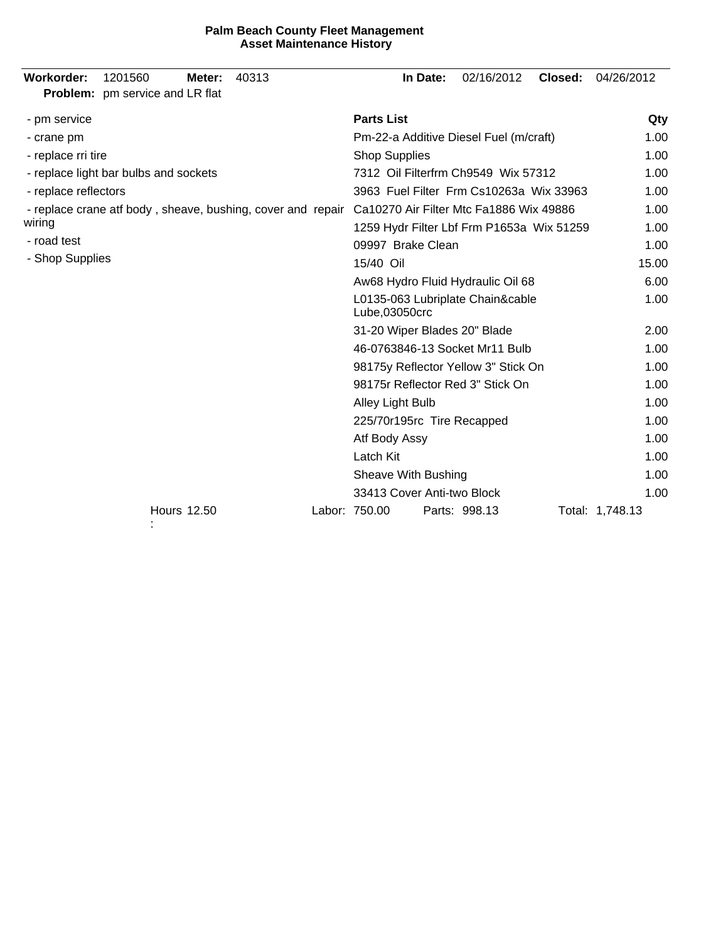| Workorder:<br>1201560<br>40313<br>Meter:<br><b>Problem:</b> pm service and LR flat | In Date:<br>02/16/2012<br>Closed:                 | 04/26/2012      |
|------------------------------------------------------------------------------------|---------------------------------------------------|-----------------|
| - pm service                                                                       | <b>Parts List</b>                                 | Qty             |
| - crane pm                                                                         | Pm-22-a Additive Diesel Fuel (m/craft)            | 1.00            |
| - replace rri tire                                                                 | <b>Shop Supplies</b>                              | 1.00            |
| - replace light bar bulbs and sockets                                              | 7312 Oil Filterfrm Ch9549 Wix 57312               | 1.00            |
| - replace reflectors                                                               | 3963 Fuel Filter Frm Cs10263a Wix 33963           | 1.00            |
| - replace crane atf body, sheave, bushing, cover and repair                        | Ca10270 Air Filter Mtc Fa1886 Wix 49886           | 1.00            |
| wiring                                                                             | 1259 Hydr Filter Lbf Frm P1653a Wix 51259         | 1.00            |
| - road test                                                                        | 09997 Brake Clean                                 | 1.00            |
| - Shop Supplies                                                                    | 15/40 Oil                                         | 15.00           |
|                                                                                    | Aw68 Hydro Fluid Hydraulic Oil 68                 | 6.00            |
|                                                                                    | L0135-063 Lubriplate Chain&cable<br>Lube,03050crc | 1.00            |
|                                                                                    | 31-20 Wiper Blades 20" Blade                      | 2.00            |
|                                                                                    | 46-0763846-13 Socket Mr11 Bulb                    | 1.00            |
|                                                                                    | 98175y Reflector Yellow 3" Stick On               | 1.00            |
|                                                                                    | 98175r Reflector Red 3" Stick On                  | 1.00            |
|                                                                                    | Alley Light Bulb                                  | 1.00            |
|                                                                                    | 225/70r195rc Tire Recapped                        | 1.00            |
|                                                                                    | Atf Body Assy                                     | 1.00            |
|                                                                                    | Latch Kit                                         | 1.00            |
|                                                                                    | Sheave With Bushing                               | 1.00            |
|                                                                                    | 33413 Cover Anti-two Block                        | 1.00            |
| <b>Hours 12.50</b>                                                                 | Labor: 750.00<br>Parts: 998.13                    | Total: 1,748.13 |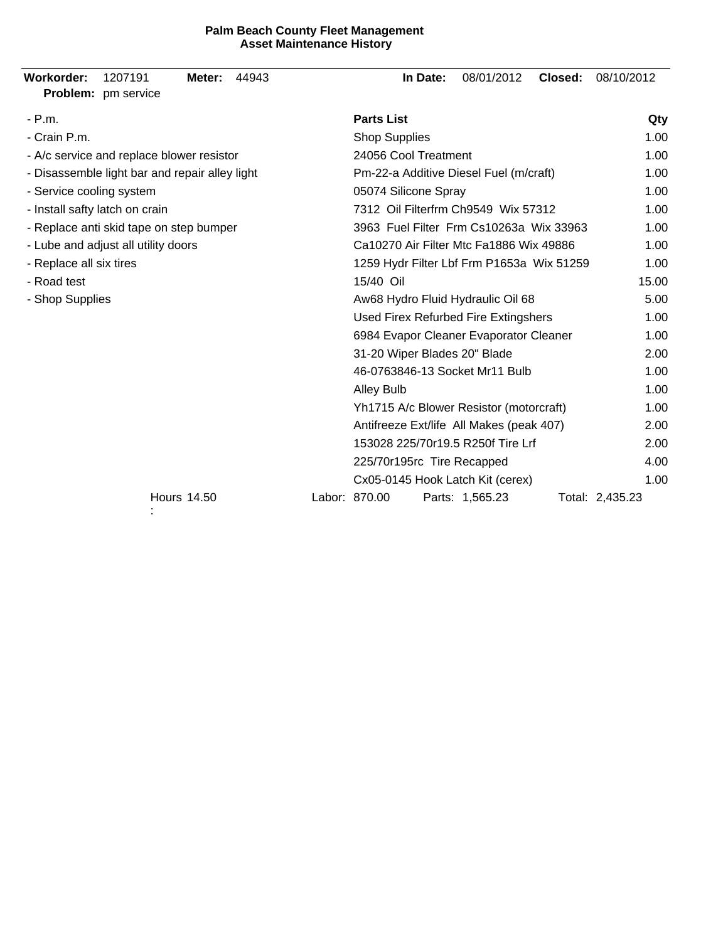| Workorder:<br>1207191<br>44943<br>Meter:<br>Problem: pm service | In Date:<br>08/01/2012<br>Closed:<br>08/10/2012     |
|-----------------------------------------------------------------|-----------------------------------------------------|
| - P.m.                                                          | <b>Parts List</b><br>Qty                            |
| - Crain P.m.                                                    | <b>Shop Supplies</b><br>1.00                        |
| - A/c service and replace blower resistor                       | 24056 Cool Treatment<br>1.00                        |
| - Disassemble light bar and repair alley light                  | Pm-22-a Additive Diesel Fuel (m/craft)<br>1.00      |
| - Service cooling system                                        | 05074 Silicone Spray<br>1.00                        |
| - Install safty latch on crain                                  | 7312 Oil Filterfrm Ch9549 Wix 57312<br>1.00         |
| - Replace anti skid tape on step bumper                         | 3963 Fuel Filter Frm Cs10263a Wix 33963<br>1.00     |
| - Lube and adjust all utility doors                             | Ca10270 Air Filter Mtc Fa1886 Wix 49886<br>1.00     |
| - Replace all six tires                                         | 1259 Hydr Filter Lbf Frm P1653a Wix 51259<br>1.00   |
| - Road test                                                     | 15/40 Oil<br>15.00                                  |
| - Shop Supplies                                                 | 5.00<br>Aw68 Hydro Fluid Hydraulic Oil 68           |
|                                                                 | Used Firex Refurbed Fire Extingshers<br>1.00        |
|                                                                 | 6984 Evapor Cleaner Evaporator Cleaner<br>1.00      |
|                                                                 | 31-20 Wiper Blades 20" Blade<br>2.00                |
|                                                                 | 46-0763846-13 Socket Mr11 Bulb<br>1.00              |
|                                                                 | 1.00<br><b>Alley Bulb</b>                           |
|                                                                 | 1.00<br>Yh1715 A/c Blower Resistor (motorcraft)     |
|                                                                 | Antifreeze Ext/life All Makes (peak 407)<br>2.00    |
|                                                                 | 153028 225/70r19.5 R250f Tire Lrf<br>2.00           |
|                                                                 | 225/70r195rc Tire Recapped<br>4.00                  |
|                                                                 | Cx05-0145 Hook Latch Kit (cerex)<br>1.00            |
| <b>Hours 14.50</b>                                              | Labor: 870.00<br>Parts: 1,565.23<br>Total: 2,435.23 |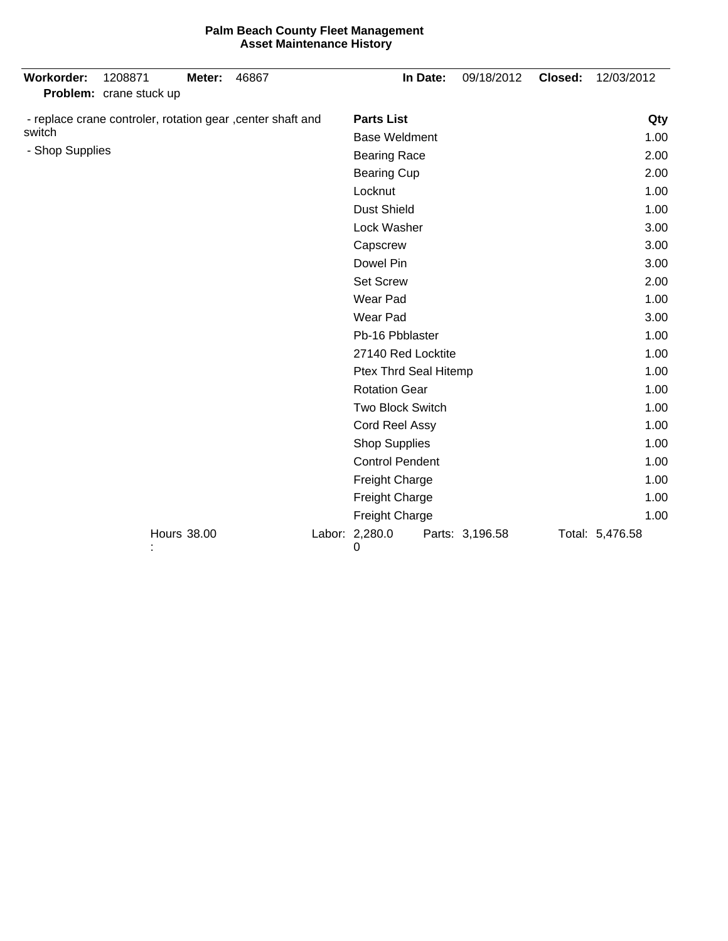| <b>Workorder:</b> | 1208871<br>Problem: crane stuck up                          | Meter: | 46867 |                         | In Date: | 09/18/2012      | Closed: | 12/03/2012      |
|-------------------|-------------------------------------------------------------|--------|-------|-------------------------|----------|-----------------|---------|-----------------|
|                   | - replace crane controler, rotation gear , center shaft and |        |       | <b>Parts List</b>       |          | Qty             |         |                 |
| switch            |                                                             |        |       | <b>Base Weldment</b>    |          |                 |         | 1.00            |
| - Shop Supplies   |                                                             |        |       | <b>Bearing Race</b>     |          |                 |         | 2.00            |
|                   |                                                             |        |       | <b>Bearing Cup</b>      |          |                 |         | 2.00            |
|                   |                                                             |        |       | Locknut                 |          |                 |         | 1.00            |
|                   |                                                             |        |       | <b>Dust Shield</b>      |          |                 |         | 1.00            |
|                   |                                                             |        |       | Lock Washer             |          |                 |         | 3.00            |
|                   |                                                             |        |       | Capscrew                |          |                 |         | 3.00            |
|                   |                                                             |        |       | Dowel Pin               |          |                 |         | 3.00            |
|                   |                                                             |        |       | <b>Set Screw</b>        |          |                 |         | 2.00            |
|                   |                                                             |        |       | Wear Pad                |          |                 |         | 1.00            |
|                   |                                                             |        |       | Wear Pad                |          |                 |         | 3.00            |
|                   |                                                             |        |       | Pb-16 Pbblaster         |          | 1.00            |         |                 |
|                   |                                                             |        |       | 27140 Red Locktite      |          |                 |         | 1.00            |
|                   |                                                             |        |       | Ptex Thrd Seal Hitemp   |          |                 |         | 1.00            |
|                   |                                                             |        |       | <b>Rotation Gear</b>    |          |                 |         | 1.00            |
|                   |                                                             |        |       | <b>Two Block Switch</b> |          |                 |         | 1.00            |
|                   |                                                             |        |       | Cord Reel Assy          |          |                 |         | 1.00            |
|                   |                                                             |        |       | <b>Shop Supplies</b>    |          |                 |         | 1.00            |
|                   |                                                             |        |       | <b>Control Pendent</b>  |          |                 |         | 1.00            |
|                   |                                                             |        |       | Freight Charge          |          |                 |         | 1.00            |
|                   |                                                             |        |       | Freight Charge          |          |                 | 1.00    |                 |
|                   |                                                             |        |       | <b>Freight Charge</b>   |          |                 | 1.00    |                 |
|                   | <b>Hours 38.00</b>                                          |        |       | Labor: 2,280.0<br>0     |          | Parts: 3,196.58 |         | Total: 5,476.58 |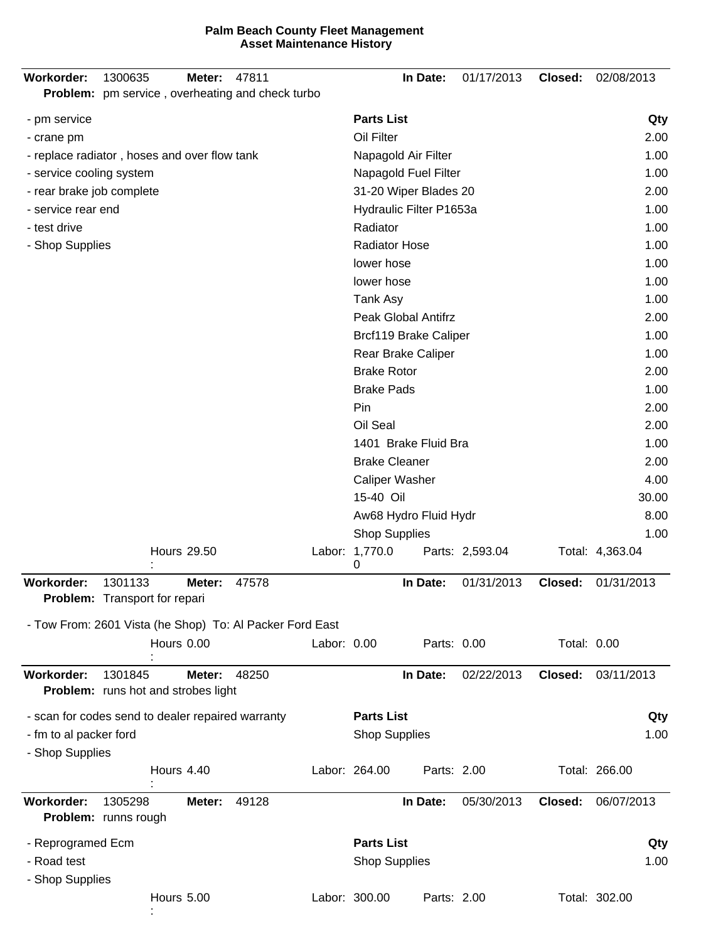| Workorder:<br>1300635                                               | Meter:             | 47811 |             |                                 | In Date:              | 01/17/2013      | Closed:     | 02/08/2013      |  |
|---------------------------------------------------------------------|--------------------|-------|-------------|---------------------------------|-----------------------|-----------------|-------------|-----------------|--|
| Problem: pm service, overheating and check turbo                    |                    |       |             |                                 |                       |                 |             |                 |  |
| - pm service                                                        |                    |       |             | <b>Parts List</b>               |                       |                 |             | Qty             |  |
| - crane pm                                                          |                    |       |             | Oil Filter                      |                       |                 |             | 2.00            |  |
| - replace radiator, hoses and over flow tank                        |                    |       |             |                                 | Napagold Air Filter   |                 |             | 1.00            |  |
| - service cooling system                                            |                    |       |             | Napagold Fuel Filter            |                       |                 |             | 1.00            |  |
| - rear brake job complete                                           |                    |       |             | 31-20 Wiper Blades 20           | 2.00                  |                 |             |                 |  |
| - service rear end                                                  |                    |       |             | Hydraulic Filter P1653a<br>1.00 |                       |                 |             |                 |  |
| - test drive                                                        |                    |       |             | Radiator<br>1.00                |                       |                 |             |                 |  |
| - Shop Supplies                                                     |                    |       |             | <b>Radiator Hose</b>            | 1.00                  |                 |             |                 |  |
|                                                                     |                    |       |             | lower hose                      |                       |                 |             | 1.00            |  |
|                                                                     |                    |       |             | lower hose                      |                       |                 |             | 1.00            |  |
|                                                                     |                    |       |             | Tank Asy                        |                       |                 |             | 1.00            |  |
|                                                                     |                    |       |             |                                 | Peak Global Antifrz   |                 |             | 2.00            |  |
|                                                                     |                    |       |             |                                 | Brcf119 Brake Caliper |                 |             | 1.00            |  |
|                                                                     |                    |       |             | <b>Brake Rotor</b>              | Rear Brake Caliper    |                 |             | 1.00<br>2.00    |  |
|                                                                     |                    |       |             | <b>Brake Pads</b>               |                       |                 |             | 1.00            |  |
|                                                                     |                    |       |             | Pin                             |                       |                 |             | 2.00            |  |
|                                                                     |                    |       |             | Oil Seal                        |                       |                 |             | 2.00            |  |
|                                                                     |                    |       |             |                                 | 1401 Brake Fluid Bra  |                 |             | 1.00            |  |
|                                                                     |                    |       |             | <b>Brake Cleaner</b>            |                       |                 |             | 2.00            |  |
|                                                                     |                    |       |             | <b>Caliper Washer</b>           |                       |                 |             | 4.00            |  |
|                                                                     |                    |       |             | 15-40 Oil                       |                       |                 |             | 30.00           |  |
|                                                                     |                    |       |             |                                 | Aw68 Hydro Fluid Hydr |                 |             | 8.00            |  |
|                                                                     |                    |       |             | <b>Shop Supplies</b>            |                       |                 |             | 1.00            |  |
|                                                                     | <b>Hours 29.50</b> |       |             | Labor: 1,770.0<br>0             |                       | Parts: 2,593.04 |             | Total: 4,363.04 |  |
| Workorder:<br>1301133                                               | Meter:             | 47578 |             |                                 | In Date:              | 01/31/2013      | Closed:     | 01/31/2013      |  |
| <b>Problem:</b> Transport for repari                                |                    |       |             |                                 |                       |                 |             |                 |  |
| - Tow From: 2601 Vista (he Shop) To: Al Packer Ford East            |                    |       |             |                                 |                       |                 |             |                 |  |
|                                                                     | Hours 0.00         |       | Labor: 0.00 |                                 | Parts: 0.00           |                 | Total: 0.00 |                 |  |
| <b>Workorder:</b><br>1301845<br>Problem: runs hot and strobes light | Meter:             | 48250 |             |                                 | In Date:              | 02/22/2013      | Closed:     | 03/11/2013      |  |
| - scan for codes send to dealer repaired warranty                   |                    |       |             | <b>Parts List</b>               |                       |                 |             | Qty             |  |
| - fm to al packer ford<br>- Shop Supplies                           |                    |       |             | <b>Shop Supplies</b>            |                       |                 |             | 1.00            |  |
|                                                                     | Hours 4.40         |       |             | Labor: 264.00                   | Parts: 2.00           |                 |             | Total: 266.00   |  |
| Workorder:<br>1305298<br>Problem: runns rough                       | Meter:             | 49128 |             |                                 | In Date:              | 05/30/2013      | Closed:     | 06/07/2013      |  |
| - Reprogramed Ecm                                                   |                    |       |             | <b>Parts List</b>               |                       |                 |             | Qty             |  |
| - Road test                                                         |                    |       |             | <b>Shop Supplies</b>            |                       |                 |             | 1.00            |  |
| - Shop Supplies                                                     |                    |       |             |                                 |                       |                 |             |                 |  |
|                                                                     | Hours 5.00         |       |             | Labor: 300.00                   | Parts: 2.00           |                 |             | Total: 302.00   |  |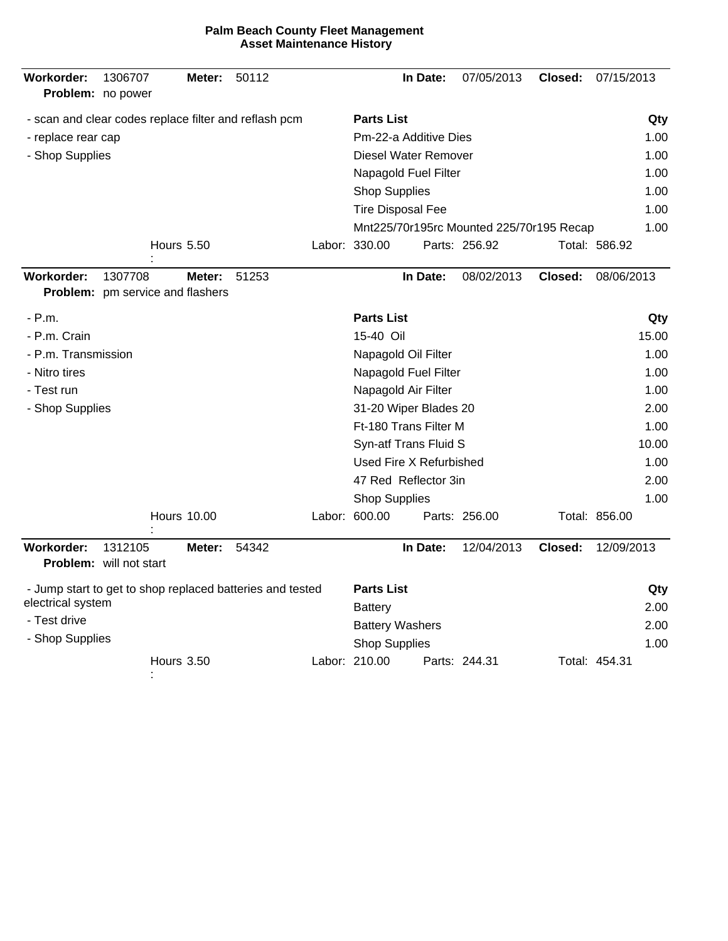| Workorder:<br>Problem: no power                           | 1306707   |                   | Meter:             | 50112 |  |                             | In Date:             | 07/05/2013                               | Closed: | 07/15/2013    |       |
|-----------------------------------------------------------|-----------|-------------------|--------------------|-------|--|-----------------------------|----------------------|------------------------------------------|---------|---------------|-------|
| - scan and clear codes replace filter and reflash pcm     |           |                   |                    |       |  | <b>Parts List</b>           |                      |                                          |         |               | Qty   |
| - replace rear cap                                        |           |                   |                    |       |  | Pm-22-a Additive Dies       |                      |                                          |         |               | 1.00  |
| - Shop Supplies                                           |           |                   |                    |       |  | <b>Diesel Water Remover</b> |                      |                                          | 1.00    |               |       |
|                                                           |           |                   |                    |       |  | Napagold Fuel Filter        |                      |                                          |         |               | 1.00  |
|                                                           |           |                   |                    |       |  | <b>Shop Supplies</b>        |                      |                                          |         |               | 1.00  |
|                                                           |           |                   |                    |       |  | <b>Tire Disposal Fee</b>    |                      |                                          |         |               | 1.00  |
|                                                           |           |                   |                    |       |  |                             |                      | Mnt225/70r195rc Mounted 225/70r195 Recap |         |               | 1.00  |
|                                                           |           | <b>Hours 5.50</b> |                    |       |  | Labor: 330.00               |                      | Parts: 256.92                            |         | Total: 586.92 |       |
| Workorder:<br>Problem: pm service and flashers            | 1307708   |                   | Meter:             | 51253 |  |                             | In Date:             | 08/02/2013                               | Closed: | 08/06/2013    |       |
| - P.m.                                                    |           |                   |                    |       |  | <b>Parts List</b>           |                      |                                          |         |               | Qty   |
| - P.m. Crain                                              | 15-40 Oil |                   |                    |       |  |                             |                      |                                          | 15.00   |               |       |
| - P.m. Transmission                                       |           |                   |                    |       |  | Napagold Oil Filter         |                      |                                          |         |               | 1.00  |
| - Nitro tires                                             |           |                   |                    |       |  |                             | Napagold Fuel Filter |                                          |         |               | 1.00  |
| - Test run                                                |           |                   |                    |       |  | Napagold Air Filter         |                      |                                          |         |               | 1.00  |
| - Shop Supplies                                           |           |                   |                    |       |  | 31-20 Wiper Blades 20       |                      | 2.00                                     |         |               |       |
|                                                           |           |                   |                    |       |  | Ft-180 Trans Filter M       |                      |                                          |         |               | 1.00  |
|                                                           |           |                   |                    |       |  | Syn-atf Trans Fluid S       |                      |                                          |         |               | 10.00 |
|                                                           |           |                   |                    |       |  | Used Fire X Refurbished     |                      |                                          |         |               | 1.00  |
|                                                           |           |                   |                    |       |  | 47 Red Reflector 3in        |                      |                                          |         |               | 2.00  |
|                                                           |           |                   |                    |       |  | <b>Shop Supplies</b>        |                      |                                          |         |               | 1.00  |
|                                                           |           |                   | <b>Hours 10.00</b> |       |  | Labor: 600.00               |                      | Parts: 256.00                            |         | Total: 856.00 |       |
| Workorder:<br>Problem: will not start                     | 1312105   |                   | Meter:             | 54342 |  |                             | In Date:             | 12/04/2013                               | Closed: | 12/09/2013    |       |
| - Jump start to get to shop replaced batteries and tested |           |                   |                    |       |  | <b>Parts List</b>           |                      |                                          |         |               | Qty   |
| electrical system                                         |           |                   |                    |       |  | <b>Battery</b>              |                      |                                          |         |               | 2.00  |
| - Test drive                                              |           |                   |                    |       |  | <b>Battery Washers</b>      |                      |                                          |         |               | 2.00  |
| - Shop Supplies                                           |           |                   |                    |       |  | <b>Shop Supplies</b>        |                      |                                          |         |               | 1.00  |
|                                                           |           | <b>Hours 3.50</b> |                    |       |  | Labor: 210.00               |                      | Parts: 244.31                            |         | Total: 454.31 |       |

: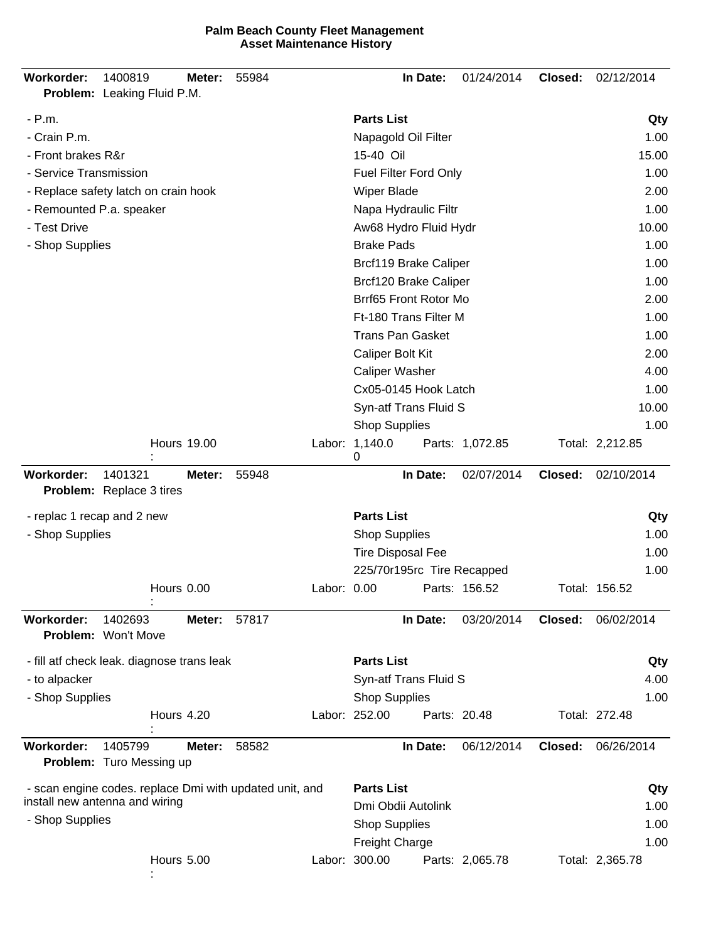| <b>Palm Beach County Fleet Management</b> |  |
|-------------------------------------------|--|
| <b>Asset Maintenance History</b>          |  |

| Workorder:                 | 1400819<br>Problem: Leaking Fluid P.M.                  | Meter:             | 55984 |                  |                          | In Date:                   | 01/24/2014      | Closed: | 02/12/2014      |
|----------------------------|---------------------------------------------------------|--------------------|-------|------------------|--------------------------|----------------------------|-----------------|---------|-----------------|
| $- P.m.$                   |                                                         |                    |       |                  | <b>Parts List</b>        |                            |                 |         | Qty             |
| - Crain P.m.               |                                                         |                    |       |                  |                          | Napagold Oil Filter        |                 |         | 1.00            |
| - Front brakes R&r         |                                                         |                    |       |                  | 15-40 Oil                |                            | 15.00           |         |                 |
| - Service Transmission     |                                                         |                    |       |                  | Fuel Filter Ford Only    | 1.00                       |                 |         |                 |
|                            | - Replace safety latch on crain hook                    |                    |       |                  | <b>Wiper Blade</b>       | 2.00                       |                 |         |                 |
| - Remounted P.a. speaker   |                                                         |                    |       |                  | Napa Hydraulic Filtr     |                            |                 |         | 1.00            |
| - Test Drive               |                                                         |                    |       |                  | Aw68 Hydro Fluid Hydr    |                            |                 |         | 10.00           |
| - Shop Supplies            |                                                         |                    |       |                  | <b>Brake Pads</b>        |                            |                 |         | 1.00            |
|                            |                                                         |                    |       |                  |                          | Brcf119 Brake Caliper      |                 |         | 1.00            |
|                            |                                                         |                    |       |                  |                          | Brcf120 Brake Caliper      |                 |         | 1.00            |
|                            |                                                         |                    |       |                  |                          | Brrf65 Front Rotor Mo      |                 |         | 2.00            |
|                            |                                                         |                    |       |                  |                          | Ft-180 Trans Filter M      |                 |         | 1.00            |
|                            |                                                         |                    |       |                  |                          | <b>Trans Pan Gasket</b>    |                 |         | 1.00            |
|                            |                                                         |                    |       | Caliper Bolt Kit |                          |                            |                 |         | 2.00            |
|                            |                                                         |                    |       |                  | <b>Caliper Washer</b>    |                            |                 |         | 4.00            |
|                            |                                                         |                    |       |                  |                          | Cx05-0145 Hook Latch       |                 |         | 1.00            |
|                            |                                                         |                    |       |                  |                          | Syn-atf Trans Fluid S      |                 |         | 10.00           |
|                            |                                                         |                    |       |                  | <b>Shop Supplies</b>     |                            |                 |         | 1.00            |
|                            |                                                         | <b>Hours 19.00</b> |       |                  | Labor: 1,140.0<br>0      |                            | Parts: 1,072.85 |         | Total: 2,212.85 |
| <b>Workorder:</b>          | 1401321<br><b>Problem:</b> Replace 3 tires              | Meter:             | 55948 |                  |                          | In Date:                   | 02/07/2014      | Closed: | 02/10/2014      |
| - replac 1 recap and 2 new |                                                         |                    |       |                  | <b>Parts List</b>        |                            |                 |         | Qty             |
| - Shop Supplies            |                                                         |                    |       |                  | <b>Shop Supplies</b>     |                            |                 |         | 1.00            |
|                            |                                                         |                    |       |                  | <b>Tire Disposal Fee</b> |                            |                 |         | 1.00            |
|                            |                                                         |                    |       |                  |                          | 225/70r195rc Tire Recapped |                 |         | 1.00            |
|                            |                                                         | Hours 0.00         |       | Labor: 0.00      |                          |                            | Parts: 156.52   |         | Total: 156.52   |
| <b>Workorder:</b>          | 1402693<br>Problem: Won't Move                          | Meter:             | 57817 |                  |                          | In Date:                   | 03/20/2014      | Closed: | 06/02/2014      |
|                            | - fill atf check leak. diagnose trans leak              |                    |       |                  | <b>Parts List</b>        |                            |                 |         | Qty             |
| - to alpacker              |                                                         |                    |       |                  |                          | Syn-atf Trans Fluid S      |                 |         | 4.00            |
| - Shop Supplies            |                                                         |                    |       |                  | <b>Shop Supplies</b>     |                            |                 |         | 1.00            |
|                            |                                                         | Hours 4.20         |       |                  | Labor: 252.00            |                            | Parts: 20.48    |         | Total: 272.48   |
| <b>Workorder:</b>          | 1405799                                                 | Meter:             | 58582 |                  |                          | In Date:                   | 06/12/2014      | Closed: | 06/26/2014      |
|                            | Problem: Turo Messing up                                |                    |       |                  |                          |                            |                 |         |                 |
|                            | - scan engine codes. replace Dmi with updated unit, and |                    |       |                  | <b>Parts List</b>        |                            |                 |         | Qty             |
|                            | install new antenna and wiring                          |                    |       |                  |                          | Dmi Obdii Autolink         |                 |         | 1.00            |
| - Shop Supplies            |                                                         |                    |       |                  | <b>Shop Supplies</b>     |                            |                 |         | 1.00            |
|                            |                                                         |                    |       |                  | <b>Freight Charge</b>    |                            |                 |         | 1.00            |
|                            |                                                         | Hours 5.00         |       |                  | Labor: 300.00            |                            | Parts: 2,065.78 |         | Total: 2,365.78 |

: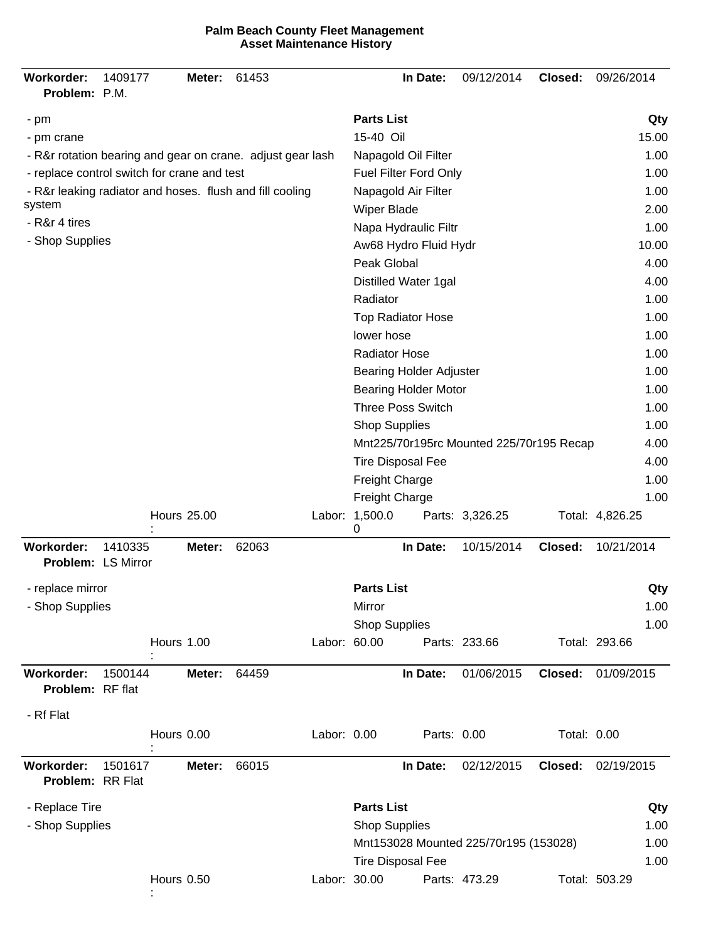| Workorder:<br>Problem: P.M.                                | 1409177 |            | Meter:             | 61453 |              |                             | In Date:                       | 09/12/2014                               | Closed:     | 09/26/2014      |       |  |
|------------------------------------------------------------|---------|------------|--------------------|-------|--------------|-----------------------------|--------------------------------|------------------------------------------|-------------|-----------------|-------|--|
| - pm                                                       |         |            |                    |       |              | <b>Parts List</b>           |                                |                                          |             |                 | Qty   |  |
| - pm crane                                                 |         |            |                    |       |              | 15-40 Oil                   |                                |                                          |             |                 | 15.00 |  |
| - R&r rotation bearing and gear on crane. adjust gear lash |         |            |                    |       |              | Napagold Oil Filter<br>1.00 |                                |                                          |             |                 |       |  |
| - replace control switch for crane and test                |         |            |                    |       |              | Fuel Filter Ford Only       |                                | 1.00                                     |             |                 |       |  |
| - R&r leaking radiator and hoses. flush and fill cooling   |         |            |                    |       |              | Napagold Air Filter         |                                | 1.00                                     |             |                 |       |  |
| system                                                     |         |            |                    |       |              | Wiper Blade                 |                                |                                          |             |                 | 2.00  |  |
| - R&r 4 tires                                              |         |            |                    |       |              |                             | Napa Hydraulic Filtr           |                                          |             |                 | 1.00  |  |
| - Shop Supplies                                            |         |            |                    |       |              |                             | Aw68 Hydro Fluid Hydr          |                                          |             |                 | 10.00 |  |
|                                                            |         |            |                    |       |              | Peak Global                 |                                |                                          |             |                 | 4.00  |  |
|                                                            |         |            |                    |       |              |                             | Distilled Water 1gal           |                                          |             |                 | 4.00  |  |
|                                                            |         |            |                    |       |              | Radiator                    |                                |                                          |             |                 | 1.00  |  |
|                                                            |         |            |                    |       |              |                             | <b>Top Radiator Hose</b>       |                                          |             |                 | 1.00  |  |
|                                                            |         |            |                    |       |              | lower hose                  |                                |                                          |             |                 | 1.00  |  |
|                                                            |         |            |                    |       |              | <b>Radiator Hose</b>        |                                |                                          |             |                 | 1.00  |  |
|                                                            |         |            |                    |       |              |                             | <b>Bearing Holder Adjuster</b> |                                          |             |                 | 1.00  |  |
|                                                            |         |            |                    |       |              |                             | <b>Bearing Holder Motor</b>    |                                          |             |                 | 1.00  |  |
|                                                            |         |            |                    |       |              |                             | <b>Three Poss Switch</b>       |                                          |             |                 | 1.00  |  |
|                                                            |         |            |                    |       |              | <b>Shop Supplies</b>        |                                |                                          |             |                 | 1.00  |  |
|                                                            |         |            |                    |       |              |                             |                                | Mnt225/70r195rc Mounted 225/70r195 Recap |             |                 | 4.00  |  |
|                                                            |         |            |                    |       |              |                             | <b>Tire Disposal Fee</b>       |                                          |             |                 | 4.00  |  |
|                                                            |         |            |                    |       |              | Freight Charge              |                                |                                          |             |                 | 1.00  |  |
|                                                            |         |            |                    |       |              | Freight Charge              |                                |                                          |             |                 | 1.00  |  |
|                                                            |         |            | <b>Hours 25.00</b> |       |              | Labor: 1,500.0<br>0         |                                | Parts: 3,326.25                          |             | Total: 4,826.25 |       |  |
| Workorder:                                                 | 1410335 |            | Meter:             | 62063 |              |                             | In Date:                       | 10/15/2014                               | Closed:     | 10/21/2014      |       |  |
| <b>Problem: LS Mirror</b>                                  |         |            |                    |       |              |                             |                                |                                          |             |                 |       |  |
| - replace mirror                                           |         |            |                    |       |              | <b>Parts List</b>           |                                |                                          |             |                 | Qty   |  |
| - Shop Supplies                                            |         |            |                    |       |              | Mirror                      |                                |                                          |             |                 | 1.00  |  |
|                                                            |         |            |                    |       |              | <b>Shop Supplies</b>        |                                |                                          |             |                 | 1.00  |  |
|                                                            |         | Hours 1.00 |                    |       | Labor: 60.00 |                             |                                | Parts: 233.66                            |             | Total: 293.66   |       |  |
| <b>Workorder:</b><br>Problem: RF flat                      | 1500144 |            | Meter:             | 64459 |              |                             | In Date:                       | 01/06/2015                               | Closed:     | 01/09/2015      |       |  |
| - Rf Flat                                                  |         |            |                    |       |              |                             |                                |                                          |             |                 |       |  |
|                                                            |         | Hours 0.00 |                    |       | Labor: 0.00  |                             | Parts: 0.00                    |                                          | Total: 0.00 |                 |       |  |
| Workorder:<br>Problem: RR Flat                             | 1501617 |            | Meter:             | 66015 |              |                             | In Date:                       | 02/12/2015                               | Closed:     | 02/19/2015      |       |  |
| - Replace Tire                                             |         |            |                    |       |              | <b>Parts List</b>           |                                |                                          |             |                 | Qty   |  |
| - Shop Supplies                                            |         |            |                    |       |              | <b>Shop Supplies</b>        |                                |                                          |             |                 | 1.00  |  |
|                                                            |         |            |                    |       |              |                             |                                | Mnt153028 Mounted 225/70r195 (153028)    |             |                 | 1.00  |  |
|                                                            |         |            |                    |       |              |                             | <b>Tire Disposal Fee</b>       |                                          |             |                 | 1.00  |  |
|                                                            |         | Hours 0.50 |                    |       | Labor: 30.00 |                             |                                | Parts: 473.29                            |             | Total: 503.29   |       |  |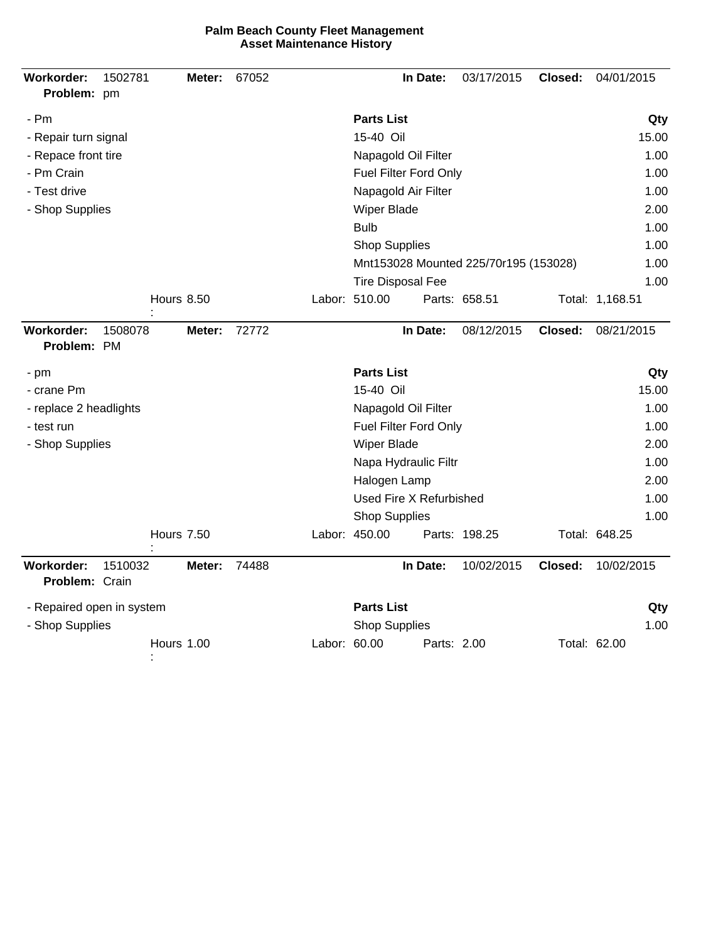| Workorder:<br>Problem: pm    | 1502781 |                   | Meter: | 67052 |              |                          | In Date:    | 03/17/2015                            | Closed: | 04/01/2015      |
|------------------------------|---------|-------------------|--------|-------|--------------|--------------------------|-------------|---------------------------------------|---------|-----------------|
| - Pm                         |         |                   |        |       |              | <b>Parts List</b>        |             |                                       |         | Qty             |
| - Repair turn signal         |         |                   |        |       |              | 15-40 Oil                |             |                                       |         | 15.00           |
| - Repace front tire          |         |                   |        |       |              | Napagold Oil Filter      |             | 1.00                                  |         |                 |
| - Pm Crain                   |         |                   |        |       |              | Fuel Filter Ford Only    |             |                                       |         | 1.00            |
| - Test drive                 |         |                   |        |       |              | Napagold Air Filter      |             |                                       |         | 1.00            |
| - Shop Supplies              |         |                   |        |       |              | <b>Wiper Blade</b>       |             |                                       |         | 2.00            |
|                              |         |                   |        |       |              | <b>Bulb</b>              |             |                                       |         | 1.00            |
|                              |         |                   |        |       |              | <b>Shop Supplies</b>     |             |                                       |         | 1.00            |
|                              |         |                   |        |       |              |                          |             | Mnt153028 Mounted 225/70r195 (153028) |         | 1.00            |
|                              |         |                   |        |       |              | <b>Tire Disposal Fee</b> |             |                                       |         | 1.00            |
|                              |         | Hours 8.50        |        |       |              | Labor: 510.00            |             | Parts: 658.51                         |         | Total: 1,168.51 |
| Workorder:<br>Problem: PM    | 1508078 |                   | Meter: | 72772 |              |                          | In Date:    | 08/12/2015                            | Closed: | 08/21/2015      |
| - pm                         |         |                   |        |       |              | <b>Parts List</b>        |             |                                       |         | Qty             |
| - crane Pm                   |         |                   |        |       |              | 15-40 Oil                |             |                                       |         | 15.00           |
| - replace 2 headlights       |         |                   |        |       |              | Napagold Oil Filter      |             |                                       |         | 1.00            |
| - test run                   |         |                   |        |       |              | Fuel Filter Ford Only    |             |                                       |         | 1.00            |
| - Shop Supplies              |         |                   |        |       |              | Wiper Blade              |             |                                       |         | 2.00            |
|                              |         |                   |        |       |              | Napa Hydraulic Filtr     |             |                                       |         | 1.00            |
|                              |         |                   |        |       |              | Halogen Lamp             |             |                                       |         | 2.00            |
|                              |         |                   |        |       |              | Used Fire X Refurbished  |             |                                       |         | 1.00            |
|                              |         |                   |        |       |              | <b>Shop Supplies</b>     |             |                                       |         | 1.00            |
|                              |         | <b>Hours 7.50</b> |        |       |              | Labor: 450.00            |             | Parts: 198.25                         |         | Total: 648.25   |
| Workorder:<br>Problem: Crain | 1510032 |                   | Meter: | 74488 |              |                          | In Date:    | 10/02/2015                            | Closed: | 10/02/2015      |
| - Repaired open in system    |         |                   |        |       |              | <b>Parts List</b>        |             |                                       |         | Qty             |
| - Shop Supplies              |         |                   |        |       |              | <b>Shop Supplies</b>     |             |                                       |         | 1.00            |
|                              |         | Hours 1.00        |        |       | Labor: 60.00 |                          | Parts: 2.00 |                                       |         | Total: 62.00    |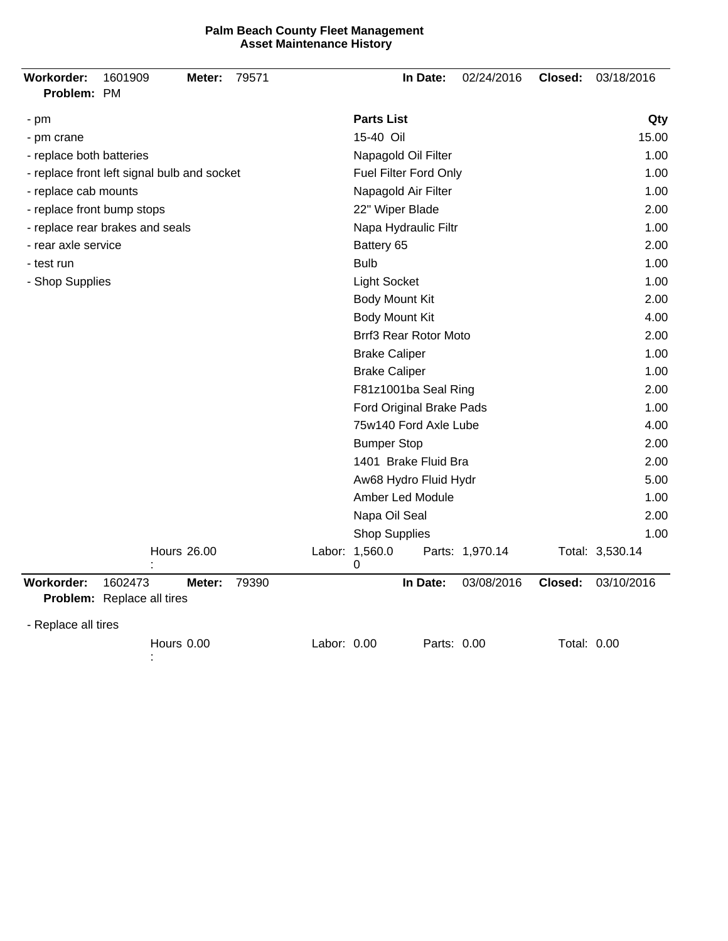| Workorder:<br>1601909<br>79571<br>Meter:<br>Problem: PM | In Date:<br>02/24/2016<br>03/18/2016<br>Closed:           |
|---------------------------------------------------------|-----------------------------------------------------------|
| - pm                                                    | <b>Parts List</b><br>Qty                                  |
| - pm crane                                              | 15-40 Oil<br>15.00                                        |
| - replace both batteries                                | 1.00<br>Napagold Oil Filter                               |
| - replace front left signal bulb and socket             | Fuel Filter Ford Only<br>1.00                             |
| - replace cab mounts                                    | Napagold Air Filter<br>1.00                               |
| - replace front bump stops                              | 22" Wiper Blade<br>2.00                                   |
| - replace rear brakes and seals                         | Napa Hydraulic Filtr<br>1.00                              |
| - rear axle service                                     | Battery 65<br>2.00                                        |
| - test run                                              | <b>Bulb</b><br>1.00                                       |
| - Shop Supplies                                         | <b>Light Socket</b><br>1.00                               |
|                                                         | Body Mount Kit<br>2.00                                    |
|                                                         | Body Mount Kit<br>4.00                                    |
|                                                         | Brrf3 Rear Rotor Moto<br>2.00                             |
|                                                         | <b>Brake Caliper</b><br>1.00                              |
|                                                         | <b>Brake Caliper</b><br>1.00                              |
|                                                         | F81z1001ba Seal Ring<br>2.00                              |
|                                                         | Ford Original Brake Pads<br>1.00                          |
|                                                         | 75w140 Ford Axle Lube<br>4.00                             |
|                                                         | 2.00<br><b>Bumper Stop</b>                                |
|                                                         | 1401 Brake Fluid Bra<br>2.00                              |
|                                                         | Aw68 Hydro Fluid Hydr<br>5.00                             |
|                                                         | Amber Led Module<br>1.00                                  |
|                                                         | Napa Oil Seal<br>2.00                                     |
|                                                         | <b>Shop Supplies</b><br>1.00                              |
| <b>Hours 26.00</b>                                      | Labor: 1,560.0<br>Total: 3,530.14<br>Parts: 1,970.14<br>0 |
| Workorder:<br>1602473<br>79390<br>Meter:                | 03/08/2016<br>03/10/2016<br>In Date:<br>Closed:           |
| Problem: Replace all tires                              |                                                           |
| - Replace all tires                                     |                                                           |
| Hours 0.00                                              | Labor: 0.00<br>Parts: 0.00<br>Total: 0.00                 |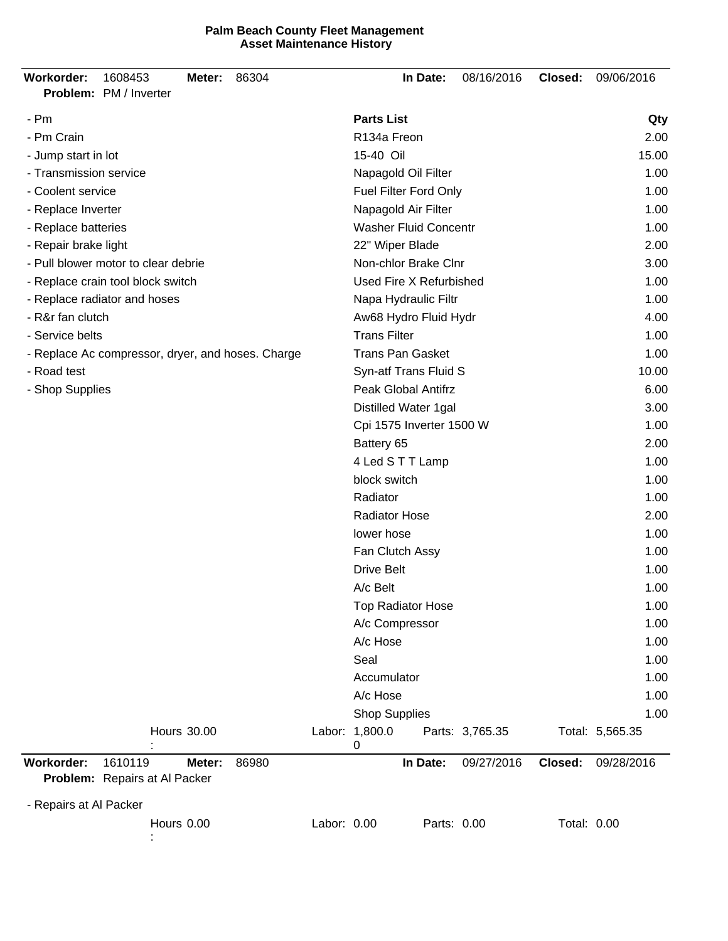| <b>Workorder:</b>                                 | 1608453<br>Problem: PM / Inverter        | Meter:             | 86304                 |             |                              | In Date: | 08/16/2016      | Closed:     | 09/06/2016      |
|---------------------------------------------------|------------------------------------------|--------------------|-----------------------|-------------|------------------------------|----------|-----------------|-------------|-----------------|
| - Pm                                              |                                          |                    |                       |             | <b>Parts List</b>            |          |                 |             | Qty             |
| - Pm Crain                                        |                                          |                    |                       |             | R134a Freon                  |          |                 |             | 2.00            |
| - Jump start in lot                               |                                          |                    |                       |             | 15-40 Oil                    | 15.00    |                 |             |                 |
| - Transmission service                            |                                          |                    |                       |             | Napagold Oil Filter          | 1.00     |                 |             |                 |
| - Coolent service                                 |                                          |                    |                       |             | Fuel Filter Ford Only        |          |                 |             | 1.00            |
| - Replace Inverter                                |                                          |                    |                       |             | Napagold Air Filter          | 1.00     |                 |             |                 |
| - Replace batteries                               |                                          |                    |                       |             | <b>Washer Fluid Concentr</b> |          |                 |             | 1.00            |
| - Repair brake light                              |                                          |                    |                       |             | 22" Wiper Blade              |          |                 |             | 2.00            |
|                                                   | - Pull blower motor to clear debrie      |                    |                       |             | Non-chlor Brake Clnr         |          |                 |             | 3.00            |
|                                                   | - Replace crain tool block switch        |                    |                       |             | Used Fire X Refurbished      |          |                 |             | 1.00            |
|                                                   | - Replace radiator and hoses             |                    |                       |             | Napa Hydraulic Filtr         |          |                 |             | 1.00            |
| - R&r fan clutch                                  |                                          |                    | Aw68 Hydro Fluid Hydr |             |                              |          | 4.00            |             |                 |
| - Service belts                                   |                                          |                    |                       |             | <b>Trans Filter</b>          |          |                 |             | 1.00            |
| - Replace Ac compressor, dryer, and hoses. Charge |                                          |                    |                       |             | <b>Trans Pan Gasket</b>      |          |                 |             | 1.00            |
| - Road test                                       |                                          |                    |                       |             | Syn-atf Trans Fluid S        |          |                 |             | 10.00           |
| - Shop Supplies                                   |                                          |                    |                       |             | Peak Global Antifrz          |          |                 |             | 6.00            |
|                                                   |                                          |                    |                       |             | Distilled Water 1gal         |          |                 |             | 3.00            |
|                                                   |                                          |                    |                       |             | Cpi 1575 Inverter 1500 W     |          |                 |             | 1.00            |
|                                                   |                                          |                    |                       |             | Battery 65                   |          |                 |             | 2.00            |
|                                                   |                                          |                    |                       |             | 4 Led S T T Lamp             |          |                 |             | 1.00            |
|                                                   |                                          |                    |                       |             | block switch                 |          |                 |             | 1.00            |
|                                                   |                                          |                    |                       |             | Radiator                     |          |                 |             | 1.00            |
|                                                   |                                          |                    |                       |             | <b>Radiator Hose</b>         |          |                 |             | 2.00            |
|                                                   |                                          |                    |                       |             | lower hose                   |          |                 |             | 1.00            |
|                                                   |                                          |                    |                       |             | Fan Clutch Assy              |          |                 |             | 1.00            |
|                                                   |                                          |                    |                       |             | <b>Drive Belt</b>            |          |                 |             | 1.00            |
|                                                   |                                          |                    |                       |             | A/c Belt                     |          |                 |             | 1.00            |
|                                                   |                                          |                    |                       |             | <b>Top Radiator Hose</b>     |          |                 |             | 1.00            |
|                                                   |                                          |                    |                       |             | A/c Compressor               |          |                 |             | 1.00            |
|                                                   |                                          |                    |                       |             | A/c Hose                     |          |                 |             | 1.00            |
|                                                   |                                          |                    |                       |             | Seal                         |          |                 |             | 1.00            |
|                                                   |                                          |                    |                       |             | Accumulator                  |          |                 |             | 1.00            |
|                                                   |                                          |                    |                       |             | A/c Hose                     |          |                 |             | 1.00            |
|                                                   |                                          |                    |                       |             | <b>Shop Supplies</b>         |          |                 |             | 1.00            |
|                                                   |                                          | <b>Hours 30.00</b> |                       |             | Labor: 1,800.0<br>0          |          | Parts: 3,765.35 |             | Total: 5,565.35 |
| Workorder:                                        | 1610119<br>Problem: Repairs at Al Packer | Meter:             | 86980                 |             |                              | In Date: | 09/27/2016      | Closed:     | 09/28/2016      |
|                                                   |                                          |                    |                       |             |                              |          |                 |             |                 |
| - Repairs at Al Packer                            |                                          |                    |                       |             |                              |          |                 |             |                 |
|                                                   |                                          | Hours 0.00         |                       | Labor: 0.00 |                              |          | Parts: 0.00     | Total: 0.00 |                 |

: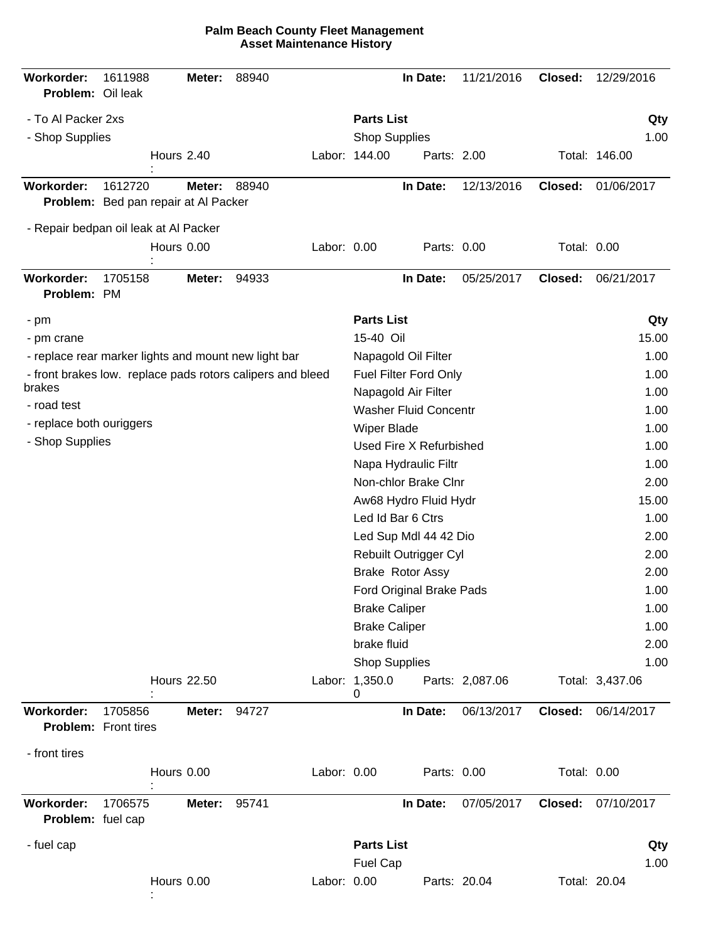| Workorder:<br>Problem: Oil leak                                      | 1611988 |                   | Meter:             | 88940 |             |                                           | In Date:                     | 11/21/2016      | Closed:      | 12/29/2016      |
|----------------------------------------------------------------------|---------|-------------------|--------------------|-------|-------------|-------------------------------------------|------------------------------|-----------------|--------------|-----------------|
| - To Al Packer 2xs<br>- Shop Supplies                                |         |                   |                    |       |             | <b>Parts List</b><br><b>Shop Supplies</b> |                              |                 |              | Qty<br>1.00     |
|                                                                      |         | <b>Hours 2.40</b> |                    |       |             | Labor: 144.00                             | Parts: 2.00                  |                 |              | Total: 146.00   |
| Workorder:<br>Problem: Bed pan repair at Al Packer                   | 1612720 |                   | Meter:             | 88940 |             |                                           | In Date:                     | 12/13/2016      | Closed:      | 01/06/2017      |
| - Repair bedpan oil leak at Al Packer                                |         |                   |                    |       |             |                                           |                              |                 |              |                 |
|                                                                      |         | Hours 0.00        |                    |       | Labor: 0.00 |                                           | Parts: 0.00                  |                 | Total: 0.00  |                 |
| Workorder:<br>Problem: PM                                            | 1705158 |                   | Meter:             | 94933 |             |                                           | In Date:                     | 05/25/2017      | Closed:      | 06/21/2017      |
| - pm                                                                 |         |                   |                    |       |             | <b>Parts List</b>                         |                              |                 |              | Qty             |
| - pm crane                                                           |         |                   |                    |       |             | 15-40 Oil                                 |                              |                 |              | 15.00           |
| - replace rear marker lights and mount new light bar                 |         |                   |                    |       |             |                                           | Napagold Oil Filter          |                 |              | 1.00            |
| - front brakes low. replace pads rotors calipers and bleed<br>brakes |         |                   |                    |       |             |                                           | Fuel Filter Ford Only        |                 |              | 1.00            |
| - road test                                                          |         |                   |                    |       |             |                                           | Napagold Air Filter          |                 | 1.00         |                 |
| - replace both ouriggers                                             |         |                   |                    |       |             |                                           | <b>Washer Fluid Concentr</b> |                 |              | 1.00            |
| - Shop Supplies                                                      |         |                   |                    |       |             | Wiper Blade                               | Used Fire X Refurbished      |                 |              | 1.00<br>1.00    |
|                                                                      |         |                   |                    |       |             |                                           | Napa Hydraulic Filtr         |                 |              | 1.00            |
|                                                                      |         |                   |                    |       |             |                                           | Non-chlor Brake Clnr         |                 |              | 2.00            |
|                                                                      |         |                   |                    |       |             |                                           | Aw68 Hydro Fluid Hydr        |                 |              | 15.00           |
|                                                                      |         |                   |                    |       |             |                                           | Led Id Bar 6 Ctrs            |                 |              | 1.00            |
|                                                                      |         |                   |                    |       |             |                                           | Led Sup Mdl 44 42 Dio        |                 |              | 2.00            |
|                                                                      |         |                   |                    |       |             |                                           | Rebuilt Outrigger Cyl        |                 |              | 2.00            |
|                                                                      |         |                   |                    |       |             |                                           | Brake Rotor Assy             |                 |              | 2.00            |
|                                                                      |         |                   |                    |       |             |                                           | Ford Original Brake Pads     |                 |              | 1.00            |
|                                                                      |         |                   |                    |       |             | <b>Brake Caliper</b>                      |                              |                 |              | 1.00            |
|                                                                      |         |                   |                    |       |             | <b>Brake Caliper</b>                      |                              |                 |              | 1.00            |
|                                                                      |         |                   |                    |       |             | brake fluid                               |                              |                 |              | 2.00            |
|                                                                      |         |                   |                    |       |             | <b>Shop Supplies</b>                      |                              |                 |              | 1.00            |
|                                                                      |         |                   | <b>Hours 22.50</b> |       |             | Labor: 1,350.0<br>0                       |                              | Parts: 2,087.06 |              | Total: 3,437.06 |
| <b>Workorder:</b><br><b>Problem:</b> Front tires                     | 1705856 |                   | Meter:             | 94727 |             |                                           | In Date:                     | 06/13/2017      | Closed:      | 06/14/2017      |
| - front tires                                                        |         |                   |                    |       |             |                                           |                              |                 |              |                 |
|                                                                      |         | Hours 0.00        |                    |       | Labor: 0.00 |                                           | Parts: 0.00                  |                 | Total: 0.00  |                 |
| Workorder:<br>Problem: fuel cap                                      | 1706575 |                   | Meter:             | 95741 |             |                                           | In Date:                     | 07/05/2017      | Closed:      | 07/10/2017      |
| - fuel cap                                                           |         |                   |                    |       |             | <b>Parts List</b>                         |                              |                 |              | Qty             |
|                                                                      |         |                   |                    |       |             | <b>Fuel Cap</b>                           |                              |                 |              | 1.00            |
|                                                                      |         | Hours 0.00        |                    |       | Labor: 0.00 |                                           |                              | Parts: 20.04    | Total: 20.04 |                 |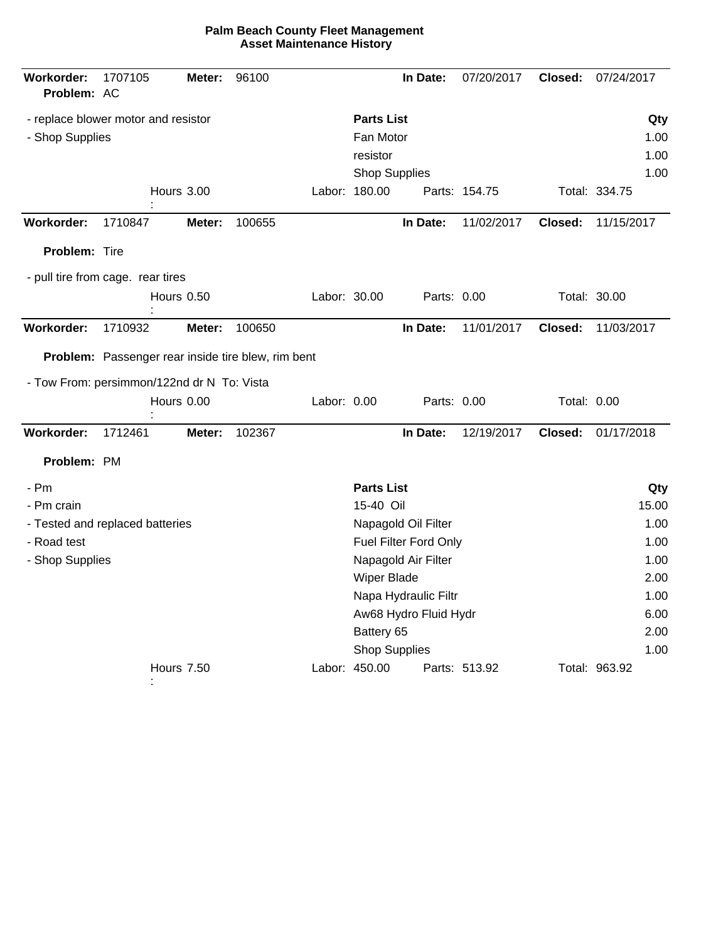| <b>Parts List</b><br>- replace blower motor and resistor<br>Fan Motor<br>- Shop Supplies<br>resistor<br>Shop Supplies<br>Hours 3.00<br>Labor: 180.00<br>Parts: 154.75<br>Workorder:<br>100655<br>In Date:<br>11/02/2017<br>Closed:<br>1710847<br>Meter:<br>Problem: Tire<br>- pull tire from cage. rear tires<br>Hours 0.50<br>Labor: 30.00<br>Parts: 0.00<br>Workorder:<br>In Date:<br>11/01/2017<br>1710932<br>Meter:<br>100650<br>Closed:<br><b>Problem:</b> Passenger rear inside tire blew, rim bent<br>- Tow From: persimmon/122nd dr N To: Vista<br>Hours 0.00<br>Labor: 0.00<br>Parts: 0.00<br>Total: 0.00 | Qty<br>1.00<br>1.00<br>1.00<br>Total: 334.75<br>11/15/2017<br>Total: 30.00<br>11/03/2017 |
|--------------------------------------------------------------------------------------------------------------------------------------------------------------------------------------------------------------------------------------------------------------------------------------------------------------------------------------------------------------------------------------------------------------------------------------------------------------------------------------------------------------------------------------------------------------------------------------------------------------------|------------------------------------------------------------------------------------------|
|                                                                                                                                                                                                                                                                                                                                                                                                                                                                                                                                                                                                                    |                                                                                          |
|                                                                                                                                                                                                                                                                                                                                                                                                                                                                                                                                                                                                                    |                                                                                          |
|                                                                                                                                                                                                                                                                                                                                                                                                                                                                                                                                                                                                                    |                                                                                          |
|                                                                                                                                                                                                                                                                                                                                                                                                                                                                                                                                                                                                                    |                                                                                          |
|                                                                                                                                                                                                                                                                                                                                                                                                                                                                                                                                                                                                                    |                                                                                          |
|                                                                                                                                                                                                                                                                                                                                                                                                                                                                                                                                                                                                                    |                                                                                          |
|                                                                                                                                                                                                                                                                                                                                                                                                                                                                                                                                                                                                                    |                                                                                          |
|                                                                                                                                                                                                                                                                                                                                                                                                                                                                                                                                                                                                                    |                                                                                          |
|                                                                                                                                                                                                                                                                                                                                                                                                                                                                                                                                                                                                                    |                                                                                          |
|                                                                                                                                                                                                                                                                                                                                                                                                                                                                                                                                                                                                                    |                                                                                          |
|                                                                                                                                                                                                                                                                                                                                                                                                                                                                                                                                                                                                                    |                                                                                          |
|                                                                                                                                                                                                                                                                                                                                                                                                                                                                                                                                                                                                                    |                                                                                          |
|                                                                                                                                                                                                                                                                                                                                                                                                                                                                                                                                                                                                                    |                                                                                          |
|                                                                                                                                                                                                                                                                                                                                                                                                                                                                                                                                                                                                                    |                                                                                          |
| Workorder:<br>102367<br>In Date:<br>1712461<br>12/19/2017<br>Closed:<br>Meter:                                                                                                                                                                                                                                                                                                                                                                                                                                                                                                                                     | 01/17/2018                                                                               |
| Problem: PM                                                                                                                                                                                                                                                                                                                                                                                                                                                                                                                                                                                                        |                                                                                          |
| <b>Parts List</b><br>- Pm                                                                                                                                                                                                                                                                                                                                                                                                                                                                                                                                                                                          | Qty                                                                                      |
| 15-40 Oil<br>- Pm crain                                                                                                                                                                                                                                                                                                                                                                                                                                                                                                                                                                                            | 15.00                                                                                    |
| Napagold Oil Filter<br>- Tested and replaced batteries                                                                                                                                                                                                                                                                                                                                                                                                                                                                                                                                                             | 1.00                                                                                     |
| - Road test<br>Fuel Filter Ford Only                                                                                                                                                                                                                                                                                                                                                                                                                                                                                                                                                                               | 1.00                                                                                     |
| - Shop Supplies<br>Napagold Air Filter                                                                                                                                                                                                                                                                                                                                                                                                                                                                                                                                                                             | 1.00                                                                                     |
| <b>Wiper Blade</b>                                                                                                                                                                                                                                                                                                                                                                                                                                                                                                                                                                                                 | 2.00                                                                                     |
| Napa Hydraulic Filtr                                                                                                                                                                                                                                                                                                                                                                                                                                                                                                                                                                                               | 1.00                                                                                     |
| Aw68 Hydro Fluid Hydr                                                                                                                                                                                                                                                                                                                                                                                                                                                                                                                                                                                              | 6.00                                                                                     |
| Battery 65                                                                                                                                                                                                                                                                                                                                                                                                                                                                                                                                                                                                         | 2.00                                                                                     |
| <b>Shop Supplies</b>                                                                                                                                                                                                                                                                                                                                                                                                                                                                                                                                                                                               | 1.00                                                                                     |
| Labor: 450.00<br><b>Hours 7.50</b><br>Parts: 513.92                                                                                                                                                                                                                                                                                                                                                                                                                                                                                                                                                                | Total: 963.92                                                                            |